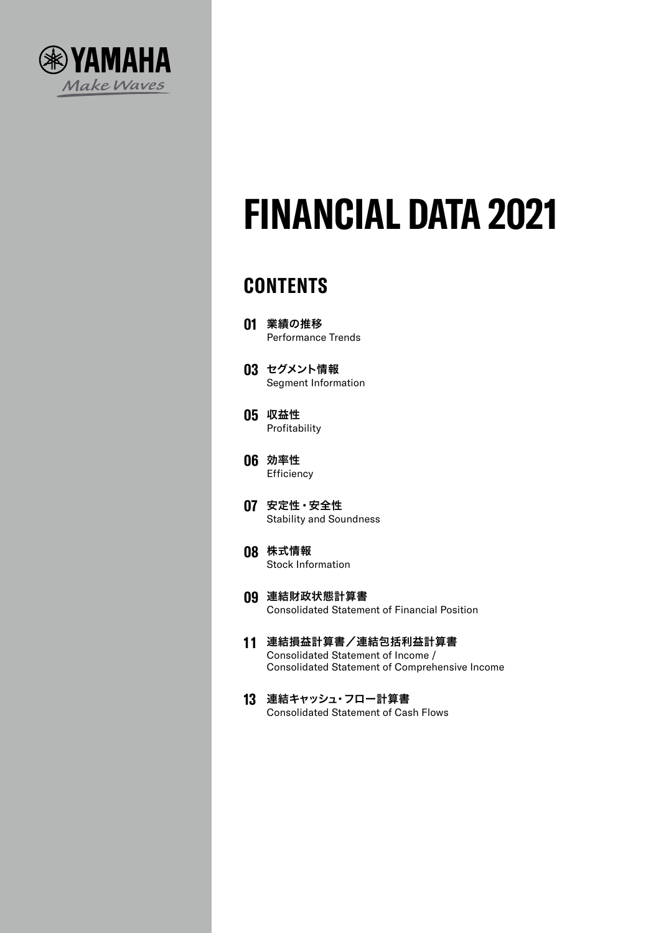

# **FINANCIAL DATA 2021**

# **CONTENTS**

- **01** 業績の推移 Performance Trends
- **03** セグメント情報 Segment Information
- **05** 収益性 Profitability
- **06** 効率性 **Efficiency**
- **07** 安定性・安全性 Stability and Soundness
- **08** 株式情報 Stock Information
- **09** 連結財政状態計算書 Consolidated Statement of Financial Position
- **1 1** 連結損益計算書/連結包括利益計算書 Consolidated Statement of Income / Consolidated Statement of Comprehensive Income
- **13** 連結キャッシュ・フロー計算書 Consolidated Statement of Cash Flows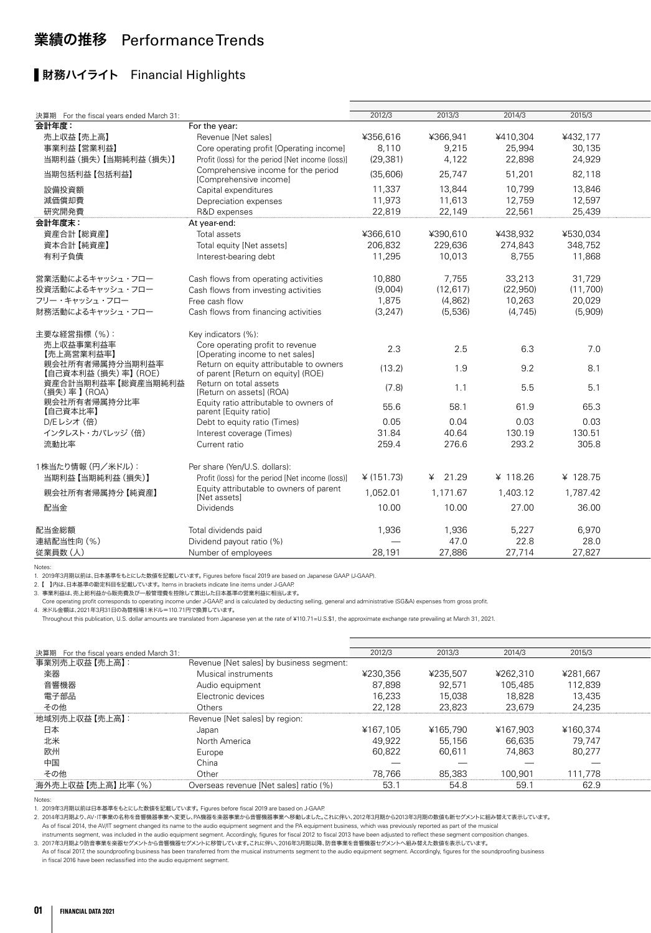## 業績の推移 Performance Trends

## ■財務ハイライト Financial Highlights

Notes:

1. 2019年3月期以前は、日本基準をもとにした数値を記載しています。 Figures before fiscal 2019 are based on Japanese GAAP (J-GAAP).

2. 【 】内は、日本基準の勘定科目を記載しています。 Items in brackets indicate line items under J-GAAP.

3. 事業利益は、売上総利益から販売費及び一般管理費を控除して算出した日本基準の営業利益に相当します。

Core operating profit corresponds to operating income under J-GAAP, and is calculated by deducting selling, general and administrative (SG&A) expenses from gross profit.

- June speciality premium acceptance to speciality means a master of strip means<br>4. 米ドル金額は、2021年3月31日の為替相場1米ドル=110.71円で換算しています。

Throughout this publication, U.S. dollar amounts are translated from Japanese yen at the rate of ¥110.71=U.S.\$1, the approximate exchange rate prevailing at March 31, 2021.

| 決算期 For the fiscal years ended March 31: |                                          | 2012/3                   | 2013/3                   | 2014/3   | 2015/3   |  |
|------------------------------------------|------------------------------------------|--------------------------|--------------------------|----------|----------|--|
| 事業別売上収益 【売上高】:                           | Revenue [Net sales] by business segment: |                          |                          |          |          |  |
| 楽器                                       | Musical instruments                      | ¥230,356                 | ¥235,507                 | ¥262,310 | ¥281,667 |  |
| 音響機器                                     | Audio equipment                          | 87,898                   | 92,571                   | 105,485  | 112,839  |  |
| 電子部品                                     | Electronic devices                       | 16,233                   | 15,038                   | 18,828   | 13,435   |  |
| その他                                      | Others                                   | 22,128                   | 23,823                   | 23,679   | 24,235   |  |
| 地域別売上収益 【売上高】:                           | Revenue [Net sales] by region:           |                          |                          |          |          |  |
| 日本                                       | Japan                                    | ¥167.105                 | ¥165.790                 | ¥167,903 | ¥160,374 |  |
| 北米                                       | North America                            | 49,922                   | 55,156                   | 66,635   | 79,747   |  |
| 欧州                                       | Europe                                   | 60,822                   | 60,611                   | 74,863   | 80,277   |  |
| 中国                                       | China                                    | $\overline{\phantom{m}}$ | $\overline{\phantom{m}}$ |          |          |  |
| その他                                      | Other                                    | 78,766                   | 85,383                   | 100,901  | 111,778  |  |
| 海外売上収益【売上高】比率 (%)                        | Overseas revenue [Net sales] ratio (%)   | 53.1                     | 54.8                     | 59.      | 62.9     |  |

Notes:

1. 2019年3月期以前は日本基準をもとにした数値を記載しています。 Figures before fiscal 2019 are based on J-GAAP.

2. 2014年3月期より、AV・IT事業の名称を音響機器事業へ変更し、PA機器を楽器事業から音響機器事業へ移動しました。これに伴い、2012年3月期から2013年3月期の数値も新セグメントに組み替えて表示しています。 As of fiscal 2014, the AV/IT segment changed its name to the audio equipment segment and the PA equipment business, which was previously reported as part of the musical

instruments segment, was included in the audio equipment segment. Accordingly, figures for fiscal 2012 to fiscal 2013 have been adjusted to reflect these segment composition changes.

3. 2017年3月期より防音事業を楽器セグメントから音響機器セグメントに移管しています。これに伴い、2016年3月期以降、防音事業を音響機器セグメントへ組み替えた数値を表示しています。 As of fiscal 2017, the soundproofing business has been transferred from the musical instruments segment to the audio equipment segment. Accordingly, figures for the soundproofing business

in fiscal 2016 have been reclassified into the audio equipment segment.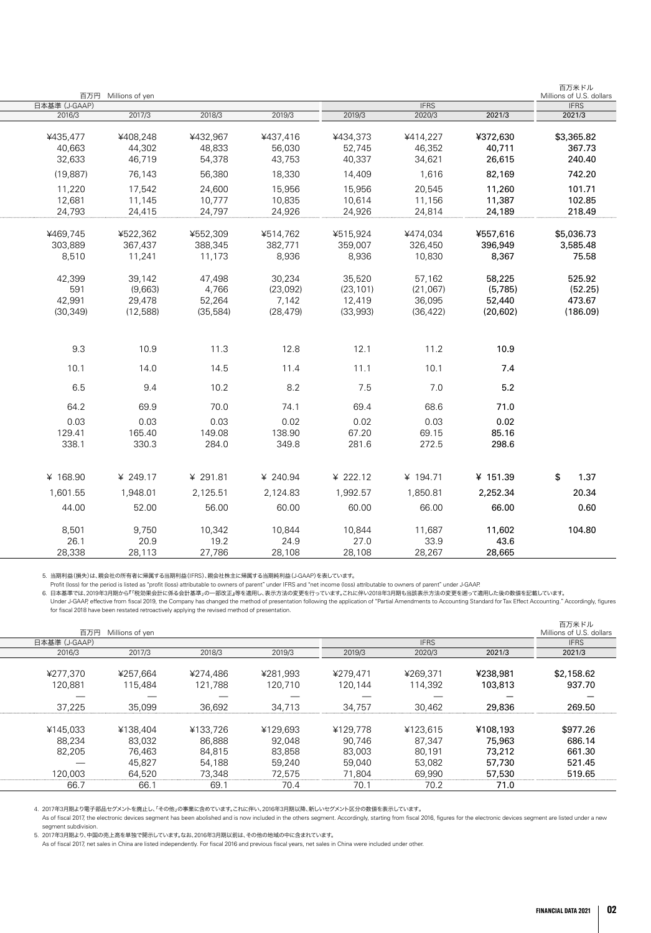|                                          |                                        | 百万円 Millions of yen                     |                                      |
|------------------------------------------|----------------------------------------|-----------------------------------------|--------------------------------------|
|                                          |                                        |                                         | 日本基準 (J-GAAP)                        |
| 2019/3                                   | 2018/3                                 | 2017/3                                  | 2016/3                               |
| ¥437,416<br>56,030<br>43,753             | ¥432,967<br>48,833<br>54,378           | ¥408,248<br>44,302<br>46,719            | ¥435,477<br>40,663<br>32,633         |
| 18,330                                   | 56,380                                 | 76,143                                  | (19, 887)                            |
| 15,956<br>10,835<br>24,926               | 24,600<br>10,777<br>24,797             | 17,542<br>11,145<br>24,415              | 11,220<br>12,681<br>24,793           |
| ¥514,762<br>382,771<br>8,936             | ¥552,309<br>388,345<br>11,173          | ¥522,362<br>367,437<br>11,241           | ¥469,745<br>303,889<br>8,510         |
| 30,234<br>(23,092)<br>7,142<br>(28, 479) | 47,498<br>4,766<br>52,264<br>(35, 584) | 39,142<br>(9,663)<br>29,478<br>(12,588) | 42,399<br>591<br>42,991<br>(30, 349) |
| 12.8                                     | 11.3                                   | 10.9                                    | 9.3                                  |
| 11.4                                     | 14.5                                   | 14.0                                    | 10.1                                 |
| 8.2                                      | 10.2                                   | 9.4                                     | 6.5                                  |
| 74.1                                     | 70.0                                   | 69.9                                    | 64.2                                 |
| 0.02<br>138.90<br>349.8                  | 0.03<br>149.08<br>284.0                | 0.03<br>165.40<br>330.3                 | 0.03<br>129.41<br>338.1              |
| ¥ 240.94                                 | ¥ 291.81                               | ¥ 249.17                                | ¥ 168.90                             |
| 2,124.83                                 | 2,125.51                               | 1,948.01                                | 1,601.55                             |
| 60.00                                    | 56.00                                  | 52.00                                   | 44.00                                |
| 10,844<br>24.9<br>28,108                 | 10,342<br>19.2<br>27,786               | 9,750<br>20.9<br>28,113                 | 8,501<br>26.1<br>28,338              |

5. 当期利益(損失)は、親会社の所有者に帰属する当期利益(IFRS)、親会社株主に帰属する当期純利益(J-GAAP)を表しています。

- Profit (loss) for the period is listed as "profit (loss) attributable to owners of parent" under IFRS and "net income (loss) attributable to owners of parent" under J-GAAP.<br>- 6. 日本基準では、2019年3月期から『「税効果会計に係る会計基準」の一部改正」等を

| Millions of U.S. dollars |          |             |          |          |          |                     |               |
|--------------------------|----------|-------------|----------|----------|----------|---------------------|---------------|
|                          |          |             |          |          |          | 百万円 Millions of yen |               |
| <b>IFRS</b>              |          | <b>IFRS</b> |          |          |          |                     | 日本基準 (J-GAAP) |
| 2021/3                   | 2021/3   | 2020/3      | 2019/3   | 2019/3   | 2018/3   | 2017/3              | 2016/3        |
|                          |          |             |          |          |          |                     |               |
| \$2,158.62               | ¥238,981 | ¥269,371    | ¥279,471 | ¥281,993 | ¥274,486 | ¥257,664            | ¥277,370      |
| 937.70                   | 103,813  | 114,392     | 120,144  | 120,710  | 121,788  | 115,484             | 120,881       |
| -                        |          |             |          |          |          |                     |               |
| 269.50                   | 29,836   | 30,462      | 34,757   | 34,713   | 36,692   | 35,099              | 37,225        |
|                          |          |             |          |          |          |                     |               |
| \$977.26                 | ¥108,193 | ¥123,615    | ¥129,778 | ¥129,693 | ¥133,726 | ¥138,404            | ¥145,033      |
| 686.14                   | 75,963   | 87,347      | 90,746   | 92,048   | 86,888   | 83,032              | 88,234        |
| 661.30                   | 73,212   | 80,191      | 83,003   | 83,858   | 84,815   | 76,463              | 82,205        |
| 521.45                   | 57,730   | 53,082      | 59,040   | 59,240   | 54,188   | 45,827              |               |
| 519.65                   | 57,530   | 69,990      | 71,804   | 72,575   | 73,348   | 64,520              | 120,003       |
|                          | 71.0     | 70.2        | 70.1     | 70.4     | 69.1     | 66.1                | 66.7          |

4. 2017年3月期より電子部品セグメントを廃止し、「その他」の事業に含めています。これに伴い、2016年3月期以降、新しいセグメント区分の数値を表示しています。

As of fiscal 2017, the electronic devices segment has been abolished and is now included in the others segment. Accordingly, starting from fiscal 2016, figures for the electronic devices segment are listed under a new segment subdivision.

5. 2017年3月期より、中国の売上高を単独で開示しています。なお、2016年3月期以前は、その他の地域の中に含まれています。<br>As of fiscal 2017, net sales in China are listed independently. For fiscal 2016 and previous fiscal years, net sales in China were included under other.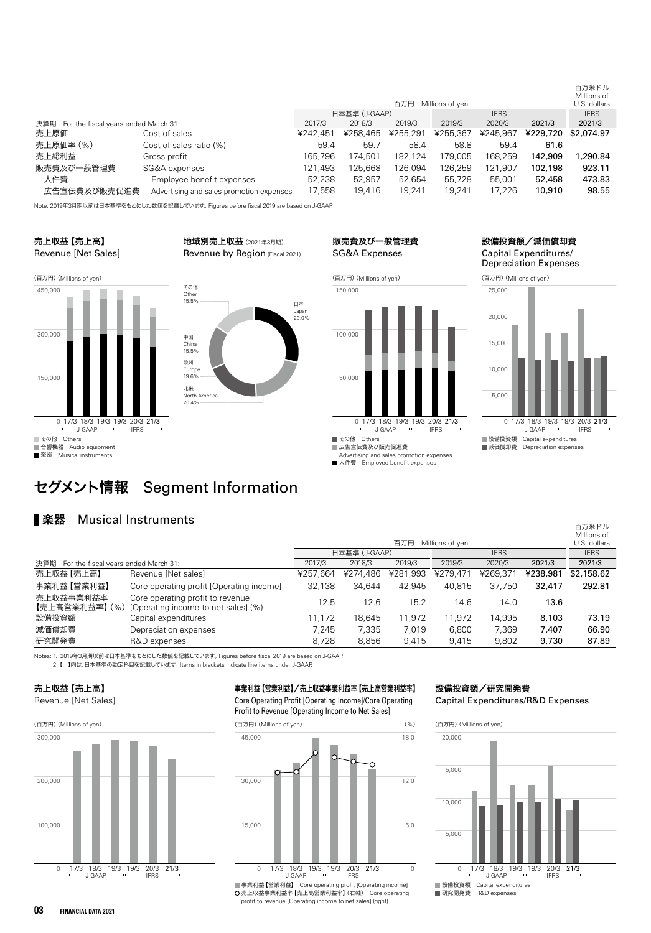|                                             |                                          |          |               |          |                 |             |          | 百万米ドル<br>Millions of |
|---------------------------------------------|------------------------------------------|----------|---------------|----------|-----------------|-------------|----------|----------------------|
|                                             |                                          |          |               | 百万円      | Millions of yen |             |          | U.S. dollars         |
|                                             |                                          |          | 日本基準 (J-GAAP) |          |                 | <b>IFRS</b> |          |                      |
| 決算期<br>For the fiscal years ended March 31: |                                          | 2017/3   | 2018/3        | 2019/3   | 2019/3          | 2020/3      | 2021/3   | 2021/3               |
| 売上原価                                        | Cost of sales                            | ¥242.451 | ¥258,465      | ¥255,291 | ¥255,367        | ¥245.967    | ¥229,720 | \$2,074.97           |
| 売上原価率 (%)                                   | Cost of sales ratio (%)                  | 59.4     | 59.7          | 58.4     | 58.8            | 59.4        | 61.6     |                      |
| 売上総利益                                       | Gross profit                             | 165.796  | 174.501       | 182.124  | 79.005          | 168.259     | 142,909  | .290.84              |
| 販売費及び一般管理費                                  | SG&A expenses                            | 121.493  | 125.668       | 126.094  | 126.259         | 121.907     | 102,198  | 923.11               |
| 人件費                                         | Employee benefit expenses                | 52,238   | 52.957        | 52,654   | 55,728          | 55,001      | 52,458   | 473.83               |
| 広告宣伝費及び販売促進費                                | Advertising and sales promotion expenses | 17,558   | 19.416        | 19.241   | 19.241          | 17.226      | 10,910   | 98.55                |

日本 Japan 29.0%

Note: 2019年3月期以前は日本基準をもとにした数値を記載しています。 Figures before fiscal 2019 are based on J-GAAP.

#### 売上収益【売上高】 Revenue [Net Sales]

地域別売上収益(2021年3月期) Revenue by Region (Fiscal 2021)





(百万円)(Millions of yen)





<sup>■</sup>広告宣伝費及び販売促進費 Advertising and sales promotion expenses

■人件費 Employee benefit expenses

#### 設備投資額/減価償却費 Capital Expenditures/ Depreciation Expenses



百万米ドル

# セグメント情報 Segment Information

## **■楽器** Musical Instruments

|                                          |                                                                         |          | 百万円<br>Millions of ven |          |          |             |          |             |  |
|------------------------------------------|-------------------------------------------------------------------------|----------|------------------------|----------|----------|-------------|----------|-------------|--|
|                                          |                                                                         |          | 日本基準 (J-GAAP)          |          |          | <b>IFRS</b> |          | <b>IFRS</b> |  |
| 決算期 For the fiscal years ended March 31: |                                                                         | 2017/3   | 2018/3                 | 2019/3   | 2019/3   | 2020/3      | 2021/3   | 2021/3      |  |
| 売上収益【売上高】                                | Revenue [Net sales]                                                     | ¥257.664 | ¥274.486               | ¥281,993 | ¥279,471 | ¥269.371    | ¥238,981 | \$2,158.62  |  |
| 事業利益【営業利益】                               | Core operating profit [Operating income]                                | 32.138   | 34.644                 | 42.945   | 40.815   | 37.750      | 32,417   | 292.81      |  |
| 売上収益事業利益率<br>【売上高営業利益率】 (%)              | Core operating profit to revenue<br>[Operating income to net sales] (%) | 12.5     | 12.6                   | 15.2     | 14.6     | 14.0        | 13.6     |             |  |
| 設備投資額                                    | Capital expenditures                                                    | 1.172    | 18.645                 | 11.972   | 11.972   | 14.995      | 8,103    | 73.19       |  |
| 減価償却費                                    | Depreciation expenses                                                   | 7.245    | 7.335                  | 7.019    | 6.800    | 7.369       | 7.407    | 66.90       |  |
| 研究開発費                                    | R&D expenses                                                            | 8.728    | 8.856                  | 9.415    | 9.415    | 9.802       | 9,730    | 87.89       |  |

Notes: 1. 2019年3月期以前は日本基準をもとにした数値を記載しています。 Figures before fiscal 2019 are based on J-GAAP.

2. 【 】内は、日本基準の勘定科目を記載しています。 Items in brackets indicate line items under J-GAAP.

# 売上収益【売上高】



事業利益【営業利益】/売上収益事業利益率【売上高営業利益率】

Core Operating Profit [Operating Income]/Core Operating Profit to Revenue [Operating Income to Net Sales]



|事業利益【営業利益】 Core operating profit [Operating income]<br>|売上収益事業利益率 【売上高営業利益率】 (右軸) Core operating profit to revenue [Operating income to net sales] (right)

## 設備投資額/研究開発費

Capital Expenditures/R&D Expenses



設備投資額 Capital expenditures 研究開発費 R&D expenses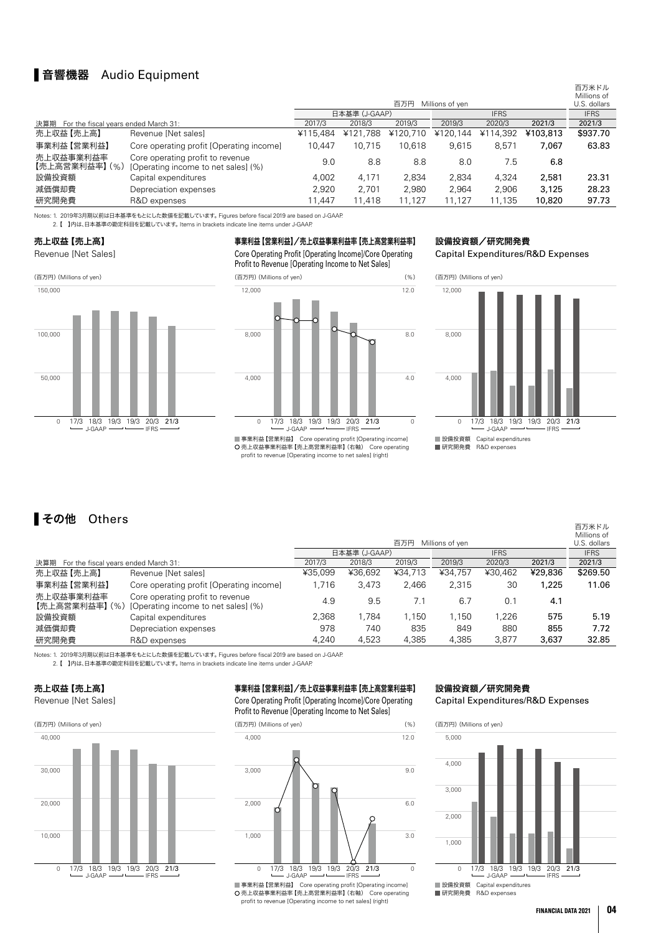## 音響機器 Audio Equipment

|                                          |                                                                         |                              |          | 百万米ドル<br>Millions of<br>U.S. dollars |          |          |          |             |
|------------------------------------------|-------------------------------------------------------------------------|------------------------------|----------|--------------------------------------|----------|----------|----------|-------------|
|                                          |                                                                         | 日本基準 (J-GAAP)<br><b>IFRS</b> |          |                                      |          |          |          | <b>IFRS</b> |
| 決算期 For the fiscal years ended March 31: |                                                                         | 2017/3                       | 2018/3   | 2019/3                               | 2019/3   | 2020/3   | 2021/3   | 2021/3      |
| 売上収益【売上高】                                | Revenue [Net sales]                                                     | ¥115.484                     | ¥121,788 | ¥120.710                             | ¥120.144 | ¥114.392 | ¥103,813 | \$937.70    |
| 事業利益【営業利益】                               | Core operating profit [Operating income]                                | 10.447                       | 10.715   | 10.618                               | 9.615    | 8.571    | 7.067    | 63.83       |
| 売上収益事業利益率<br>【売上高営業利益率】 (%)              | Core operating profit to revenue<br>[Operating income to net sales] (%) | 9.0                          | 8.8      | 8.8                                  | 8.0      | 7.5      | 6.8      |             |
| 設備投資額                                    | Capital expenditures                                                    | 4.002                        | 4.171    | 2.834                                | 2.834    | 4.324    | 2,581    | 23.31       |
| 減価償却費                                    | Depreciation expenses                                                   | 2.920                        | 2.701    | 2.980                                | 2.964    | 2.906    | 3,125    | 28.23       |
| 研究開発費                                    | R&D expenses                                                            | 11.447                       | 11,418   | 11,127                               | 11,127   | 11,135   | 10,820   | 97.73       |

Notes: 1. 2019年3月期以前は日本基準をもとにした数値を記載しています。 Figures before fiscal 2019 are based on J-GAAP.

- ^ コンピュンカンカルコーニー コマニュコンの コール コンピュータ・アクセス コンピュータ コンピュータ コンピュータ

#### 売上収益【売上高】

Revenue [Net Sales]



事業利益【営業利益】/売上収益事業利益率【売上高営業利益率】

Core Operating Profit [Operating Income]/Core Operating Profit to Revenue [Operating Income to Net Sales]



 売上収益事業利益率【売上高営業利益率】(右軸) Core operating profit to revenue [Operating income to net sales] (right)

#### 設備投資額/研究開発費

Capital Expenditures/R&D Expenses



## その他 Others

|                                          |                                                                         |         | 百万円<br>Millions of yen |         |         |             |         |          |  |
|------------------------------------------|-------------------------------------------------------------------------|---------|------------------------|---------|---------|-------------|---------|----------|--|
|                                          |                                                                         |         | 日本基準 (J-GAAP)          |         |         | <b>IFRS</b> |         |          |  |
| 決算期 For the fiscal years ended March 31: |                                                                         | 2017/3  | 2018/3                 | 2019/3  | 2019/3  | 2020/3      | 2021/3  | 2021/3   |  |
| 売上収益【売上高】                                | Revenue [Net sales]                                                     | ¥35.099 | ¥36,692                | ¥34,713 | ¥34.757 | ¥30.462     | ¥29,836 | \$269.50 |  |
| 事業利益【営業利益】                               | Core operating profit [Operating income]                                | 1.716   | 3.473                  | 2.466   | 2.315   | 30          | 1,225   | 11.06    |  |
| 売上収益事業利益率<br>【売上高営業利益率】 (%)              | Core operating profit to revenue<br>[Operating income to net sales] (%) | 4.9     | 9.5                    | 7.1     | 6.7     | 0.1         | 4.1     |          |  |
| 設備投資額                                    | Capital expenditures                                                    | 2,368   | 1.784                  | 1.150   | 1.150   | 1.226       | 575     | 5.19     |  |
| 減価償却費                                    | Depreciation expenses                                                   | 978     | 740                    | 835     | 849     | 880         | 855     | 7.72     |  |
| 研究開発費                                    | R&D expenses                                                            | 4.240   | 4.523                  | 4.385   | 4.385   | 3.877       | 3,637   | 32.85    |  |

Notes: 1. 2019年3月期以前は日本基準をもとにした数値を記載しています。 Figures before fiscal 2019 are based on J-GAAP.

- 1. 2019年5月初次的は日本基準としことのC数値を記載している 9。Tigures before fiscal 2019 are based<br>2. 【 】内は、日本基準の勘定科目を記載しています。 Items in brackets indicate line items under J-GAAP.

## 売上収益【売上高】





事業利益【営業利益】/売上収益事業利益率【売上高営業利益率】

Core Operating Profit [Operating Income]/Core Operating Profit to Revenue [Operating Income to Net Sales]



|事業利益【営業利益】 Core operating profit [Operating income]<br>|売上収益事業利益率 【売上高営業利益率】 (右軸) Core operating profit to revenue [Operating income to net sales] (right)

# 設備投資額/研究開発費





設備投資額 Capital expenditures 研究開発費 R&D expenses

百万米ドル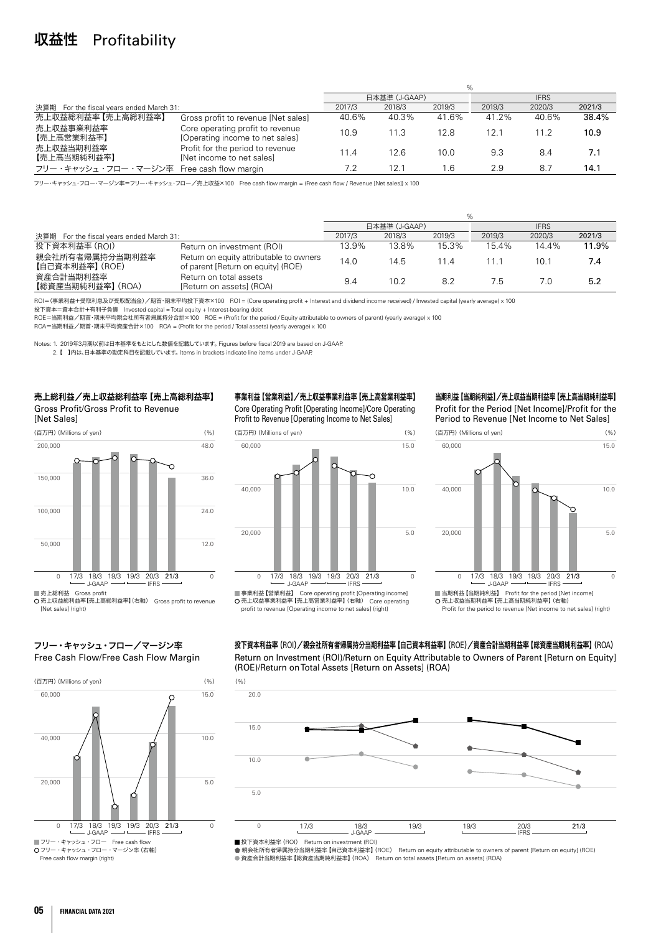## 収益性 Profitability

|                                          |                                                                     | %      |               |        |             |        |        |  |  |  |  |
|------------------------------------------|---------------------------------------------------------------------|--------|---------------|--------|-------------|--------|--------|--|--|--|--|
|                                          |                                                                     |        | 日本基準 (J-GAAP) |        | <b>IFRS</b> |        |        |  |  |  |  |
| 決算期 For the fiscal years ended March 31: |                                                                     | 2017/3 | 2018/3        | 2019/3 | 2019/3      | 2020/3 | 2021/3 |  |  |  |  |
| 売上収益総利益率【売上高総利益率】                        | Gross profit to revenue [Net sales]                                 | 40.6%  | 40.3%         | 41.6%  | 41.2%       | 40.6%  | 38.4%  |  |  |  |  |
| 売上収益事業利益率<br>【売上高営業利益率】                  | Core operating profit to revenue<br>[Operating income to net sales] | 10.9   | 11.3          | 12.8   | 12.1        | 11.2   | 10.9   |  |  |  |  |
| 売上収益当期利益率<br>【売上高当期純利益率】                 | Profit for the period to revenue<br>[Net income to net sales]       | 11.4   | 12.6          | 10.0   | 9.3         | 8.4    | 7.1    |  |  |  |  |
| フリー・キャッシュ・フロー・マージン率                      | Free cash flow margin                                               | 7.2    | 12.1          | l.6    | 2.9         | 8.7    | 14.1   |  |  |  |  |

フリー・キャッシュ・フロー・マージン率=フリー・キャッシュ・フロー/売上収益×100 Free cash flow margin = (Free cash flow / Revenue [Net sales]) x 100

|                                             |                                                                               | %      |               |        |        |             |        |  |  |
|---------------------------------------------|-------------------------------------------------------------------------------|--------|---------------|--------|--------|-------------|--------|--|--|
|                                             |                                                                               |        | 日本基準 (J-GAAP) |        |        | <b>IFRS</b> |        |  |  |
| 決算期<br>For the fiscal years ended March 31: |                                                                               | 2017/3 | 2018/3        | 2019/3 | 2019/3 | 2020/3      | 2021/3 |  |  |
| 投下資本利益率 (ROI)                               | Return on investment (ROI)                                                    | 13.9%  | 13.8%         | 15.3%  | 15.4%  | 14.4%       | 11.9%  |  |  |
| 親会社所有者帰属持分当期利益率<br>【自己資本利益率】 (ROE)          | Return on equity attributable to owners<br>of parent [Return on equity] (ROE) | 14.0   | 14.5          | 114    |        | 10.1        | 7.4    |  |  |
| 資産合計当期利益率<br>【総資産当期純利益率】 (ROA)              | Return on total assets<br>[Return on assets] (ROA)                            | 9.4    | 10.2          | 8.2    | 7.5    | 7.0         | 5.2    |  |  |

ROI=(事業利益+受取利息及び受取配当金)/期首・期末平均投下資本×100 ROI = (Core operating profit + Interest and dividend income received) / Invested capital (yearly average) x 100

投下資本=資本合計+有利子負債 Invested capital = Total equity + Interest-bearing debt

ROE=当期利益/期首・期末平均親会社所有者帰属持分合計×100 ROE = (Profit for the period / Equity attributable to owners of parent) (yearly average) x 100

ROA=当期利益/期首・期末平均資産合計×100 ROA = (Profit for the period / Total assets) (yearly average) x 100

Notes: 1. 2019年3月期以前は日本基準をもとにした数値を記載しています。 Figures before fiscal 2019 are based on J-GAAP.

2. 【 】内は、日本基準の勘定科目を記載しています。 Items in brackets indicate line items under J-GAAP.

売上総利益/売上収益総利益率【売上高総利益率】 Gross Profit/Gross Profit to Revenue [Net Sales]





■売上総利益 Gross profit

———————<br>〇 売上収益総利益率【売上高総利益率】(右軸) Gross profit to revenue [Net sales] (right

事業利益【営業利益】/売上収益事業利益率【売上高営業利益率】

Core Operating Profit [Operating Income]/Core Operating Profit to Revenue [Operating Income to Net Sales]



■事業利益【営業利益】 Core operating profit [Operating income] 売上収益事業利益率【売上高営業利益率】(右軸) Core operating profit to revenue [Operating income to net sales] (right)

当期利益【当期純利益】/売上収益当期利益率【売上高当期純利益率】

Profit for the Period [Net Income]/Profit for the Period to Revenue [Net Income to Net Sales]



 売上収益当期利益率【売上高当期純利益率】(右軸) Profit for the period to revenue [Net income to net sales] (right)

#### フリー・キャッシュ・フロー/マージン率 Free Cash Flow/Free Cash Flow Margin



Free cash flow margin (right)

#### 投下資本利益率(ROI)/親会社所有者帰属持分当期利益率【自己資本利益率】(ROE)/資産合計当期利益率【総資産当期純利益率】(ROA) Return on Investment (ROI)/Return on Equity Attributable to Owners of Parent [Return on Equity] (ROE)/Return on Total Assets [Return on Assets] (ROA)



投下資本利益率 (ROI) )Return on investment (ROI)<br>親会社所有者帰属持分当期利益率 【自己資本利益率】 (ROE) Return on equity attributable to owners of parent [Return on equity] (ROE) ■ 税公出外的日常数为13%为13%为11%。<br>● 資産合計当期利益率【総資産当期純利益率】(ROA) Return on total assets [Return on assets] (ROA)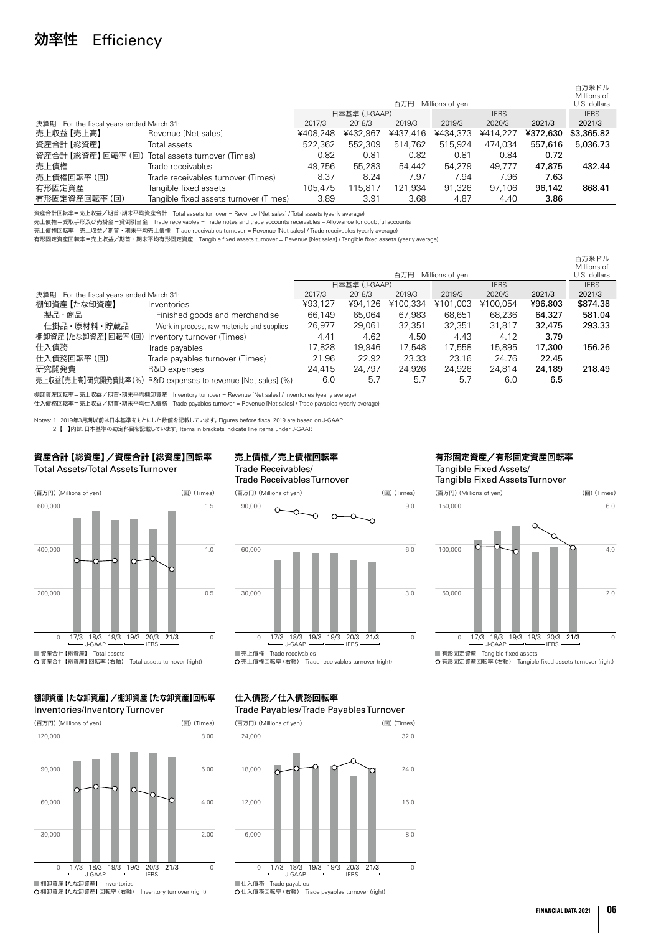# 効率性 Efficiency

|                                          |                                        |          |               |          |                 |             |          | 百万米ドル<br>Millions of |
|------------------------------------------|----------------------------------------|----------|---------------|----------|-----------------|-------------|----------|----------------------|
|                                          |                                        |          |               | 百万円      | Millions of yen |             |          | U.S. dollars         |
|                                          |                                        |          | 日本基準 (J-GAAP) |          |                 | <b>IFRS</b> |          |                      |
| 決算期 For the fiscal years ended March 31: |                                        | 2017/3   | 2018/3        | 2019/3   | 2019/3          | 2020/3      | 2021/3   | 2021/3               |
| 売上収益【売上高】                                | Revenue [Net sales]                    | ¥408.248 | ¥432.967      | ¥437.416 | ¥434.373        | ¥414.227    | ¥372,630 | \$3,365.82           |
| 資産合計【総資産】                                | Total assets                           | 522.362  | 552,309       | 514.762  | 515.924         | 474.034     | 557,616  | 5,036.73             |
| 資産合計 【総資産】 回転率 (回)                       | Total assets turnover (Times)          | 0.82     | 0.81          | 0.82     | 0.81            | 0.84        | 0.72     |                      |
| 売上債権                                     | Trade receivables                      | 49.756   | 55,283        | 54,442   | 54.279          | 49.777      | 47,875   | 432.44               |
| 売上債権回転率 (回)                              | Trade receivables turnover (Times)     | 8.37     | 8.24          | 7.97     | 7.94            | 7.96        | 7.63     |                      |
| 有形固定資産                                   | Tangible fixed assets                  | 105.475  | 115.817       | 121.934  | 91.326          | 97.106      | 96,142   | 868.41               |
| 有形固定資産回転率(回)                             | Tangible fixed assets turnover (Times) | 3.89     | 3.91          | 3.68     | 4.87            | 4.40        | 3.86     |                      |

資産合計回転率=売上収益/期首・期末平均資産合計 Total assets turnover = Revenue [Net sales] / Total assets (yearly average)

売上債権=受取手形及び売掛金-貸倒引当金 Trade receivables = Trade notes and trade accounts receivables – Allowance for doubtful accounts

売上債権回転率=売上収益/期首・期末平均売上債権 Trade receivables turnover = Revenue [Net sales] / Trade receivables (yearly average)

有形固定資産回転率=売上収益/期首・期末平均有形固定資産 Tangible fixed assets turnover = Revenue [Net sales] / Tangible fixed assets (yearly average)

|                                               |                                                              |                              |         |          |                 |          |         | 白力米ドル        |
|-----------------------------------------------|--------------------------------------------------------------|------------------------------|---------|----------|-----------------|----------|---------|--------------|
|                                               |                                                              |                              |         |          |                 |          |         | Millions of  |
|                                               |                                                              |                              |         | 百万円      | Millions of yen |          |         | U.S. dollars |
|                                               |                                                              | 日本基準 (J-GAAP)<br><b>IFRS</b> |         |          |                 |          |         | <b>IFRS</b>  |
| 決算期 For the fiscal years ended March 31:      |                                                              | 2017/3                       | 2018/3  | 2019/3   | 2019/3          | 2020/3   | 2021/3  | 2021/3       |
| 棚卸資産【たな卸資産】                                   | Inventories                                                  | ¥93.127                      | ¥94,126 | ¥100,334 | ¥101.003        | ¥100.054 | ¥96,803 | \$874.38     |
| 製品・商品                                         | Finished goods and merchandise                               | 66,149                       | 65.064  | 67.983   | 68.651          | 68.236   | 64,327  | 581.04       |
| 仕掛品・原材料・貯蔵品                                   | Work in process, raw materials and supplies                  | 26,977                       | 29,061  | 32,351   | 32,351          | 31,817   | 32,475  | 293.33       |
| 棚卸資産【たな卸資産】回転率 (回) Inventory turnover (Times) |                                                              | 4.41                         | 4.62    | 4.50     | 4.43            | 4.12     | 3.79    |              |
| 仕入債務                                          | Trade payables                                               | 17.828                       | 19.946  | 17.548   | 17.558          | 15,895   | 17,300  | 156.26       |
| 仕入債務回転率(回)                                    | Trade payables turnover (Times)                              | 21.96                        | 22.92   | 23.33    | 23.16           | 24.76    | 22.45   |              |
| 研究開発費                                         | R&D expenses                                                 | 24.415                       | 24.797  | 24.926   | 24.926          | 24.814   | 24,189  | 218.49       |
|                                               | 売上収益【売上高】研究開発費比率 (%) R&D expenses to revenue [Net sales] (%) | 6.0                          | 5.7     | 5.7      | 5.7             | 6.0      | 6.5     |              |

棚卸資産回転率=売上収益/期首・期末平均棚卸資産 Inventory turnover = Revenue [Net sales] / Inventories (yearly average)

仕入債務回転率=売上収益/期首・期末平均仕入債務 Trade payables turnover = Revenue [Net sales] / Trade payables (yearly average)

Notes: 1. 2019年3月期以前は日本基準をもとにした数値を記載しています。 Figures before fiscal 2019 are based on J-GAAP.

2. 【 】内は、日本基準の勘定科目を記載しています。 Items in brackets indicate line items under J-GAAP.

#### 資産合計【総資産】/資産合計【総資産】回転率 Total Assets/Total Assets Turnover



#### 売上債権/売上債権回転率 Trade Receivables/ Trade Receivables Turnover (百万円)(Millions of yen) (回)(Times)



売上債権 Trade receivables

売上債権回転率(右軸) Trade receivables turnover (right)

## 棚卸資産【たな卸資産】/棚卸資産【たな卸資産】回転率





棚卸資産【たな卸資産】回転率(右軸) Inventory turnover (right)

## 仕入債務/仕入債務回転率

#### Trade Payables/Trade Payables Turnover



#### 有形固定資産/有形固定資産回転率 Tangible Fixed Assets/ Tangible Fixed Assets Turnover



**二 177 自治大量 Tangiare med destre**<br>O 有形固定資産回転率 (右軸) Tangible fixed assets turnover (right)

■ 仕入債務 Trade payables 仕入債務回転率(右軸) Trade payables turnover (right)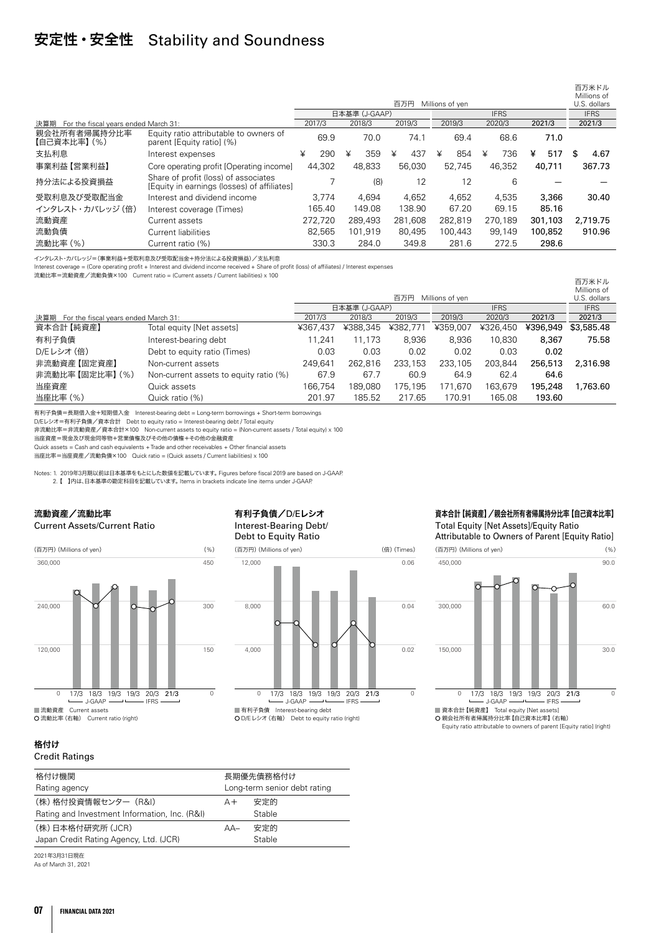## 安定性・安全性 Stability and Soundness

|                                             |                                                                                     |   |         |   |               |   |         |   |                 |   |             |   |         |    | 百万米ドル<br>Millions of |
|---------------------------------------------|-------------------------------------------------------------------------------------|---|---------|---|---------------|---|---------|---|-----------------|---|-------------|---|---------|----|----------------------|
|                                             |                                                                                     |   |         |   |               |   | 百万円     |   | Millions of ven |   |             |   |         |    | U.S. dollars         |
|                                             |                                                                                     |   |         |   | 日本基準 (J-GAAP) |   |         |   |                 |   | <b>IFRS</b> |   |         |    | <b>IFRS</b>          |
| 決算期<br>For the fiscal years ended March 31: |                                                                                     |   | 2017/3  |   | 2018/3        |   | 2019/3  |   | 2019/3          |   | 2020/3      |   | 2021/3  |    | 2021/3               |
| 親会社所有者帰属持分比率<br>【自己資本比率】 (%)                | Equity ratio attributable to owners of<br>parent [Equity ratio] (%)                 |   | 69.9    |   | 70.0          |   | 74.1    |   | 69.4            |   | 68.6        |   | 71.0    |    |                      |
| 支払利息                                        | Interest expenses                                                                   | ¥ | 290     | ¥ | 359           | ¥ | 437     | ¥ | 854             | ¥ | 736         | ¥ | 517     | S. | 4.67                 |
| 事業利益【営業利益】                                  | Core operating profit [Operating income]                                            |   | 44.302  |   | 48.833        |   | 56,030  |   | 52.745          |   | 46.352      |   | 40,711  |    | 367.73               |
| 持分法による投資損益                                  | Share of profit (loss) of associates<br>[Equity in earnings (losses) of affiliates] |   |         |   | (8)           |   | 12      |   | 12              |   | 6           |   |         |    |                      |
| 受取利息及び受取配当金                                 | Interest and dividend income                                                        |   | 3.774   |   | 4.694         |   | 4.652   |   | 4.652           |   | 4.535       |   | 3,366   |    | 30.40                |
| インタレスト・カバレッジ (倍)                            | Interest coverage (Times)                                                           |   | 165.40  |   | 149.08        |   | 138.90  |   | 67.20           |   | 69.15       |   | 85.16   |    |                      |
| 流動資産                                        | Current assets                                                                      |   | 272.720 |   | 289.493       |   | 281.608 |   | 282.819         |   | 270.189     |   | 301,103 |    | 2.719.75             |
| 流動負債                                        | Current liabilities                                                                 |   | 82.565  |   | 101.919       |   | 80.495  |   | 100.443         |   | 99.149      |   | 100.852 |    | 910.96               |
| 流動比率 (%)                                    | Current ratio (%)                                                                   |   | 330.3   |   | 284.0         |   | 349.8   |   | 281.6           |   | 272.5       |   | 298.6   |    |                      |

インタレスト・カバレッジ=(事業利益+受取利息及び受取配当金+持分法による投資損益)/支払利息

Interest coverage = (Core operating profit + Interest and dividend income received + Share of profit (loss) of affiliates) / Interest expenses

流動比率=流動資産/流動負債×100 Current ratio = (Current assets / Current liabilities) x 100

|                                             |                                        |          |               |          |                 |             |          | 百万米ドル        |
|---------------------------------------------|----------------------------------------|----------|---------------|----------|-----------------|-------------|----------|--------------|
|                                             |                                        |          |               |          |                 |             |          | Millions of  |
|                                             |                                        |          |               | 百万円      | Millions of yen |             |          | U.S. dollars |
|                                             |                                        |          | 日本基準 (J-GAAP) |          |                 | <b>IFRS</b> |          | <b>IFRS</b>  |
| For the fiscal years ended March 31:<br>決算期 |                                        | 2017/3   | 2018/3        | 2019/3   | 2019/3          | 2020/3      | 2021/3   | 2021/3       |
| 資本合計【純資産】                                   | Total equity [Net assets]              | ¥367.437 | ¥388,345      | ¥382,771 | ¥359,007        | ¥326,450    | ¥396,949 | \$3,585,48   |
| 有利子負債                                       | Interest-bearing debt                  | 1.241    | 11.173        | 8.936    | 8.936           | 10,830      | 8,367    | 75.58        |
| D/Eレシオ (倍)                                  | Debt to equity ratio (Times)           | 0.03     | 0.03          | 0.02     | 0.02            | 0.03        | 0.02     |              |
| 非流動資産【固定資産】                                 | Non-current assets                     | 249.641  | 262.816       | 233.153  | 233,105         | 203,844     | 256,513  | 2,316.98     |
| 非流動比率 【固定比率】 (%)                            | Non-current assets to equity ratio (%) | 67.9     | 67.7          | 60.9     | 64.9            | 62.4        | 64.6     |              |
| 当座資産                                        | Quick assets                           | 166.754  | 189.080       | 175.195  | 171.670         | 163,679     | 195,248  | 1.763.60     |
| 当座比率 (%)                                    | Quick ratio (%)                        | 201.97   | 185.52        | 217.65   | 170.91          | 165.08      | 193.60   |              |
|                                             |                                        |          |               |          |                 |             |          |              |

有利子負債=長期借入金+短期借入金 Interest-bearing debt = Long-term borrowings + Short-term borrowings

D/Eレシオ=有利子負債/資本合計 Debt to equity ratio = Interest-bearing debt / Total equity

非流動比率=非流動資産/資本合計×100 Non-current assets to equity ratio = (Non-current assets / Total equity) x 100

当座資産=現金及び現金同等物+営業債権及びその他の債権+その他の金融資産

Quick assets = Cash and cash equivalents + Trade and other receivables + Other financial assets

当座比率=当座資産/流動負債×100 Quick ratio = (Quick assets / Current liabilities) x 100

Notes: 1. 2019年3月期以前は日本基準をもとにした数値を記載しています。 Figures before fiscal 2019 are based on J-GAAP. 2. 【 】内は、日本基準の勘定科目を記載しています。 Items in brackets indicate line items under J-GAAP.

#### 流動資産/流動比率 Current Assets/Current Ratio



#### 有利子負債/D/Eレシオ Interest-Bearing Debt/ Debt to Equity Ratio



#### 資本合計【純資産】/親会社所有者帰属持分比率【自己資本比率】

Total Equity [Net Assets]/Equity Ratio Attributable to Owners of Parent [Equity Ratio]



 親会社所有者帰属持分比率【自己資本比率】(右軸) Equity ratio attributable to owners of parent [Equity ratio] (right)

### 格付け

#### Credit Ratings

| 格付け機関                                         | 長期優先債務格付け                    |        |  |
|-----------------------------------------------|------------------------------|--------|--|
| Rating agency                                 | Long-term senior debt rating |        |  |
| (株)格付投資情報センター (R&I)                           | 安定的<br>$A +$                 |        |  |
| Rating and Investment Information, Inc. (R&I) |                              | Stable |  |
| (株)日本格付研究所 (JCR)                              | $AA-$                        | 安定的    |  |
| Japan Credit Rating Agency, Ltd. (JCR)        |                              | Stable |  |

2021年3月31日現在 As of March 31, 2021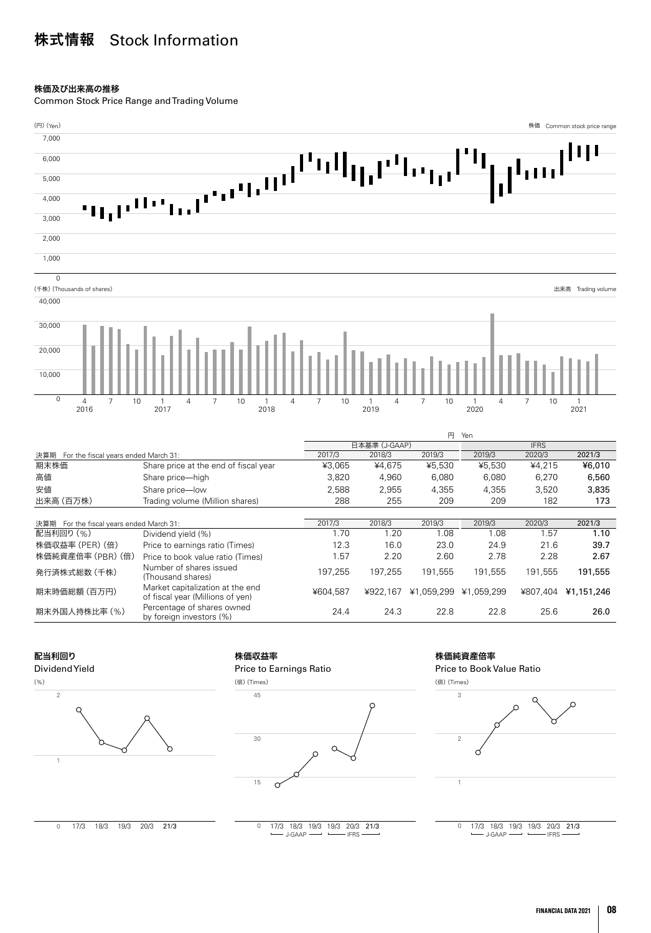# 株式情報 Stock Information

#### 株価及び出来高の推移

Common Stock Price Range and Trading Volume



#### 配当利回り

#### Dividend Yield





#### 株価収益率





#### 株価純資産倍率 Price to Book Value Ratio



 $\overline{0}$ 17/3 18/3 19/3 19/3 20/3 21/3<br>
-- J-GAAP -- FRS

0 17/3 18/3 19/3 20/3 21/3

17/3 18/3 19/3 19/3 20/3 21/3 J-GAAP IFRS J-GAAP IFRS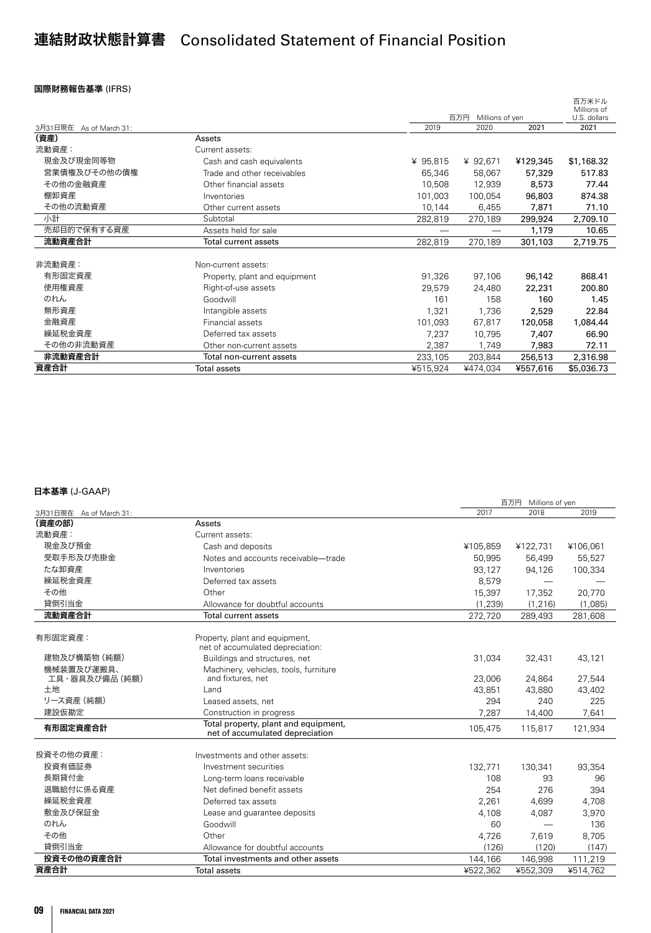# 連結財政状態計算書 Consolidated Statement of Financial Position

#### 国際財務報告基準 (IFRS)

|                         |                               |          |                        |          | 白力米ドル<br>Millions of |
|-------------------------|-------------------------------|----------|------------------------|----------|----------------------|
|                         |                               |          | 百万円<br>Millions of yen |          | U.S. dollars         |
| 3月31日現在 As of March 31: |                               | 2019     | 2020                   | 2021     | 2021                 |
| (資産)                    | Assets                        |          |                        |          |                      |
| 流動資産:                   | Current assets:               |          |                        |          |                      |
| 現金及び現金同等物               | Cash and cash equivalents     | ¥ 95,815 | ¥ 92,671               | ¥129,345 | \$1,168.32           |
| 営業債権及びその他の債権            | Trade and other receivables   | 65,346   | 58,067                 | 57,329   | 517.83               |
| その他の金融資産                | Other financial assets        | 10,508   | 12,939                 | 8,573    | 77.44                |
| 棚卸資産                    | Inventories                   | 101,003  | 100,054                | 96,803   | 874.38               |
| その他の流動資産                | Other current assets          | 10,144   | 6,455                  | 7,871    | 71.10                |
| 小計                      | Subtotal                      | 282,819  | 270,189                | 299,924  | 2,709.10             |
| 売却目的で保有する資産             | Assets held for sale          |          |                        | 1,179    | 10.65                |
| 流動資産合計                  | <b>Total current assets</b>   | 282,819  | 270,189                | 301,103  | 2,719.75             |
|                         |                               |          |                        |          |                      |
| 非流動資産:                  | Non-current assets:           |          |                        |          |                      |
| 有形固定資産                  | Property, plant and equipment | 91,326   | 97,106                 | 96,142   | 868.41               |
| 使用権資産                   | Right-of-use assets           | 29,579   | 24,480                 | 22,231   | 200.80               |
| のれん                     | Goodwill                      | 161      | 158                    | 160      | 1.45                 |
| 無形資産                    | Intangible assets             | 1,321    | 1,736                  | 2,529    | 22.84                |
| 金融資産                    | Financial assets              | 101,093  | 67,817                 | 120,058  | 1,084.44             |
| 繰延税金資産                  | Deferred tax assets           | 7,237    | 10,795                 | 7,407    | 66.90                |
| その他の非流動資産               | Other non-current assets      | 2,387    | 1,749                  | 7,983    | 72.11                |
| 非流動資産合計                 | Total non-current assets      | 233,105  | 203,844                | 256,513  | 2,316.98             |
| 資産合計                    | <b>Total assets</b>           | ¥515,924 | ¥474,034               | ¥557,616 | \$5,036.73           |

|                         |                                       |                  | 百万円 Millions of yen |               |
|-------------------------|---------------------------------------|------------------|---------------------|---------------|
| 3月31日現在 As of March 31: |                                       | 2017             | 2018                | 2019          |
| (資産の部)                  | Assets                                |                  |                     |               |
| 流動資産:                   | Current assets:                       |                  |                     |               |
| 現金及び預金                  | Cash and deposits                     | ¥105,859         | ¥122,731            | ¥106,061      |
| 受取手形及び売掛金               | Notes and accounts receivable-trade   | 50.995           | 56,499              | 55,527        |
| たな卸資産                   | Inventories                           | 93,127           | 94,126              | 100,334       |
| 繰延税金資産                  | Deferred tax assets                   | 8,579            |                     |               |
| その他                     | Other                                 | 15,397           | 17,352              | 20,770        |
| 貸倒引当金                   | Allowance for doubtful accounts       | (1.239)          | (1.216)             | (1,085)       |
| 流動資産合計                  | Total current assets                  | 272,720          | 289,493             | 281,608       |
| 有形固定資産:                 | Property, plant and equipment,        |                  |                     |               |
|                         | net of accumulated depreciation:      |                  |                     |               |
| 建物及び構築物 (純額)            | Buildings and structures, net         | 31,034           | 32,431              | 43,121        |
| 機械装置及び運搬具、              | Machinery, vehicles, tools, furniture |                  |                     |               |
| 工具・器具及び備品 (純額)<br>土地    | and fixtures, net<br>Land             | 23,006<br>43.851 | 24,864<br>43,880    | 27,544        |
| リース資産 (純額)              | Leased assets, net                    | 294              | 240                 | 43,402<br>225 |
| 建設仮勘定                   | Construction in progress              | 7,287            | 14,400              | 7,641         |
|                         | Total property, plant and equipment,  |                  |                     |               |
| 有形固定資産合計                | net of accumulated depreciation       | 105,475          | 115,817             | 121.934       |
| 投資その他の資産:               | Investments and other assets:         |                  |                     |               |
| 投資有価証券                  | Investment securities                 | 132,771          | 130,341             | 93,354        |
| 長期貸付金                   | Long-term loans receivable            | 108              | 93                  | 96            |
| 退職給付に係る資産               | Net defined benefit assets            | 254              | 276                 | 394           |
| 繰延税金資産                  | Deferred tax assets                   | 2,261            | 4,699               | 4,708         |
| 敷金及び保証金                 | Lease and quarantee deposits          | 4,108            | 4,087               | 3,970         |
| のれん                     | Goodwill                              | 60               |                     | 136           |
| その他                     | Other                                 | 4,726            | 7,619               | 8,705         |
| 貸倒引当金                   | Allowance for doubtful accounts       | (126)            | (120)               | (147)         |
| 投資その他の資産合計              | Total investments and other assets    | 144,166          | 146,998             | 111,219       |
| 資産合計                    | <b>Total assets</b>                   | ¥522.362         | ¥552,309            | ¥514.762      |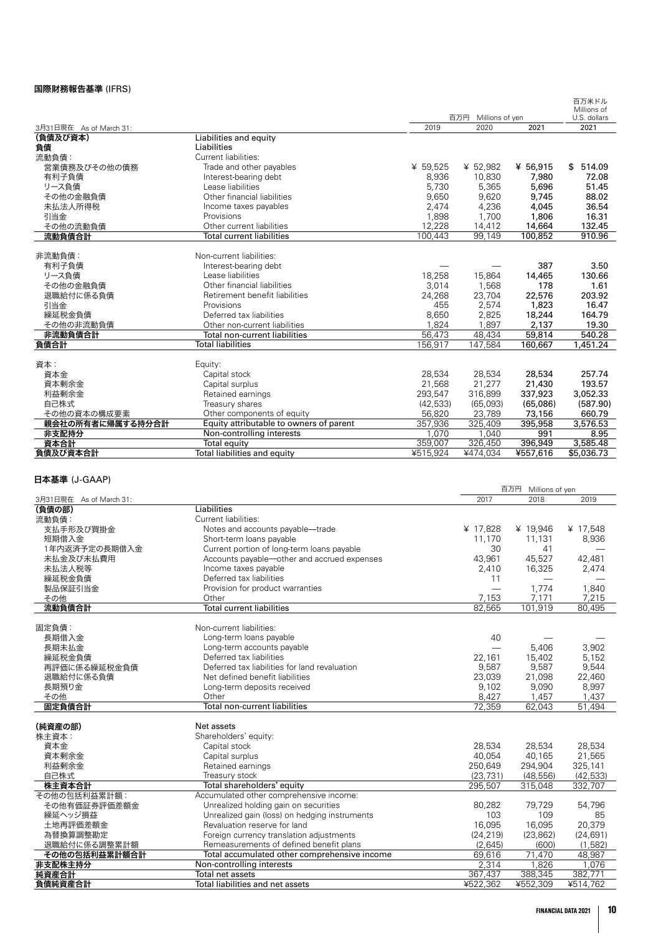#### 国際財務報告基準 (IFRS)

|                         |                                         |          |                     |          | 百万米ドル<br>Millions of |
|-------------------------|-----------------------------------------|----------|---------------------|----------|----------------------|
|                         |                                         |          | 百万円 Millions of yen |          | U.S. dollars         |
| 3月31日現在 As of March 31: |                                         | 2019     | 2020                | 2021     | 2021                 |
| (負債及び資本)                | Liabilities and equity                  |          |                     |          |                      |
| 負債                      | Liabilities                             |          |                     |          |                      |
| 流動負債:                   | Current liabilities:                    |          |                     |          |                      |
| 営業債務及びその他の債務            | Trade and other payables                | ¥ 59,525 | ¥ 52,982            | ¥ 56,915 | \$514.09             |
| 有利子負債                   | Interest-bearing debt                   | 8,936    | 10,830              | 7,980    | 72.08                |
| リース負債                   | Lease liabilities                       | 5.730    | 5,365               | 5,696    | 51.45                |
| その他の金融負債                | Other financial liabilities             | 9,650    | 9,620               | 9,745    | 88.02                |
| 未払法人所得税                 | Income taxes payables                   | 2,474    | 4,236               | 4,045    | 36.54                |
| 引当金                     | Provisions                              | 1,898    | 1,700               | 1,806    | 16.31                |
| その他の流動負債                | Other current liabilities               | 12,228   | 14,412              | 14,664   | 132.45               |
| 流動負債合計                  | <b>Total current liabilities</b>        | 100,443  | 99,149              | 100,852  | 910.96               |
|                         |                                         |          |                     |          |                      |
| 非流動負債:                  | Non-current liabilities:                |          |                     |          |                      |
| 有利子負債                   | Interest-bearing debt                   |          |                     | 387      | 3.50                 |
| リース負債                   | Lease liabilities                       | 18,258   | 15,864              | 14,465   | 130.66               |
| その他の金融負債                | Other financial liabilities             | 3,014    | 1.568               | 178      | 1.61                 |
| 退職給付に係る負債               | Retirement benefit liabilities          | 24,268   | 23,704              | 22,576   | 203.92               |
| 引当金                     | Provisions                              | 455      | 2,574               | 1,823    | 16.47                |
| 繰延税金負債                  | Deferred tax liabilities                | 8,650    | 2,825               | 18,244   | 164.79               |
| その他の非流動負債               | Other non-current liabilities           | 1,824    | 1,897               | 2,137    | 19.30                |
| 非流動負債合計                 | <b>Total non-current liabilities</b>    | 56,473   | 48,434              | 59,814   | 540.28               |
| 負債合計                    | <b>Total liabilities</b>                | 156,917  | 147,584             | 160,667  | 1,451.24             |
|                         |                                         |          |                     |          |                      |
| 資本:                     | Equity:                                 |          |                     |          |                      |
| 資本金                     | Capital stock                           | 28,534   | 28,534              | 28,534   | 257.74               |
| 資本剰余金                   | Capital surplus                         | 21,568   | 21,277              | 21,430   | 193.57               |
| 利益剰余金                   | Retained earnings                       | 293,547  | 316,899             | 337,923  | 3,052.33             |
| 自己株式                    | Treasury shares                         | (42,533) | (65,093)            | (65,086) | (587.90)             |
| その他の資本の構成要素             | Other components of equity              | 56,820   | 23,789              | 73,156   | 660.79               |
| 親会社の所有者に帰属する持分合計        | Equity attributable to owners of parent | 357,936  | 325,409             | 395,958  | 3,576.53             |
| 非支配持分                   | Non-controlling interests               | 1.070    | 1.040               | 991      | 8.95                 |
| 資本合計                    | Total equity                            | 359,007  | 326,450             | 396,949  | 3,585.48             |
| 負債及び資本合計                | Total liabilities and equity            | ¥515,924 | ¥474,034            | ¥557,616 | \$5,036.73           |

| -- <del>-</del> --- -- -- -- -- -- - |                                               | 百万円 Millions of yen |           |           |
|--------------------------------------|-----------------------------------------------|---------------------|-----------|-----------|
| 3月31日現在 As of March 31:              |                                               | 2017                | 2018      | 2019      |
| (負債の部)                               | Liabilities                                   |                     |           |           |
| 流動負債:                                | Current liabilities:                          |                     |           |           |
| 支払手形及び買掛金                            | Notes and accounts payable-trade              | ¥ 17,828            | ¥ 19,946  | ¥ 17,548  |
| 短期借入金                                | Short-term loans payable                      | 11,170              | 11,131    | 8,936     |
| 1年内返済予定の長期借入金                        | Current portion of long-term loans payable    | 30                  | 41        |           |
| 未払金及び未払費用                            | Accounts payable-other and accrued expenses   | 43,961              | 45,527    | 42,481    |
| 未払法人税等                               | Income taxes payable                          | 2,410               | 16,325    | 2,474     |
| 繰延税金負債                               | Deferred tax liabilities                      | 11                  |           |           |
| 製品保証引当金                              | Provision for product warranties              |                     | 1,774     | 1,840     |
| その他                                  | Other                                         | 7,153               | 7,171     | 7,215     |
| 流動負債合計                               | <b>Total current liabilities</b>              | 82,565              | 101,919   | 80,495    |
| 固定負債:                                | Non-current liabilities:                      |                     |           |           |
| 長期借入金                                | Long-term loans payable                       | 40                  |           |           |
| 長期未払金                                | Long-term accounts payable                    |                     | 5,406     | 3,902     |
| 繰延税金負債                               | Deferred tax liabilities                      | 22,161              | 15,402    | 5,152     |
| 再評価に係る繰延税金負債                         | Deferred tax liabilities for land revaluation | 9,587               | 9,587     | 9,544     |
| 退職給付に係る負債                            | Net defined benefit liabilities               | 23,039              | 21,098    | 22,460    |
| 長期預り金                                | Long-term deposits received                   | 9,102               | 9,090     | 8,997     |
| その他                                  | Other                                         | 8,427               | 1,457     | 1,437     |
| 固定負債合計                               | <b>Total non-current liabilities</b>          | 72.359              | 62,043    | 51,494    |
|                                      |                                               |                     |           |           |
| (純資産の部)                              | Net assets                                    |                     |           |           |
| 株主資本:                                | Shareholders' equity:                         |                     |           |           |
| 資本金                                  | Capital stock                                 | 28,534              | 28,534    | 28,534    |
| 資本剰余金                                | Capital surplus                               | 40,054              | 40,165    | 21,565    |
| 利益剰余金                                | Retained earnings                             | 250,649             | 294,904   | 325,141   |
| 自己株式                                 | Treasury stock                                | (23.731)            | (48.556)  | (42, 533) |
| 株主資本合計                               | Total shareholders' equity                    | 295,507             | 315,048   | 332,707   |
| その他の包括利益累計額:                         | Accumulated other comprehensive income:       |                     |           |           |
| その他有価証券評価差額金                         | Unrealized holding gain on securities         | 80,282              | 79,729    | 54,796    |
| 繰延ヘッジ損益                              | Unrealized gain (loss) on hedging instruments | 103                 | 109       | 85        |
| 土地再評価差額金                             | Revaluation reserve for land                  | 16,095              | 16,095    | 20,379    |
| 為替換算調整勘定                             | Foreign currency translation adjustments      | (24, 219)           | (23, 862) | (24, 691) |
| 退職給付に係る調整累計額                         | Remeasurements of defined benefit plans       | (2,645)             | (600)     | (1,582)   |
| その他の包括利益累計額合計                        | Total accumulated other comprehensive income  | 69,616              | 71,470    | 48,987    |
| 非支配株主持分                              | Non-controlling interests                     | 2,314               | 1,826     | 1.076     |
| 純資産合計                                | Total net assets                              | 367,437             | 388,345   | 382,771   |
| 負債純資産合計                              | Total liabilities and net assets              | ¥522,362            | ¥552,309  | ¥514,762  |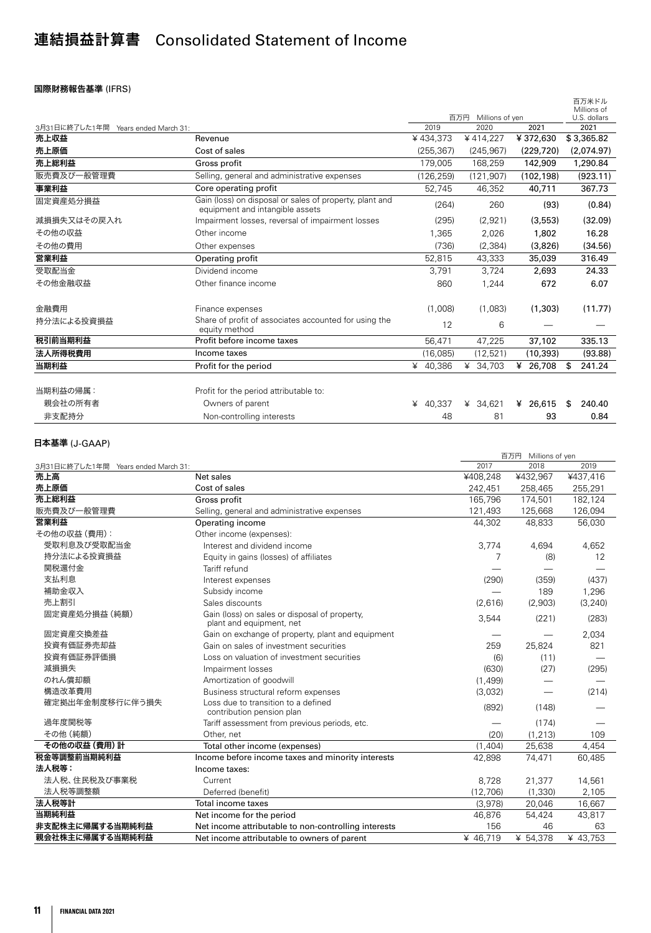# 連結損益計算書 Consolidated Statement of Income

#### 国際財務報告基準 (IFRS)

|                                                                                            |                                  |            |                         | 百万米ドル<br>Millions of                |
|--------------------------------------------------------------------------------------------|----------------------------------|------------|-------------------------|-------------------------------------|
|                                                                                            |                                  |            |                         | U.S. dollars                        |
|                                                                                            | 2019                             |            |                         | 2021                                |
|                                                                                            |                                  |            |                         | \$3,365.82                          |
| Cost of sales                                                                              | (255, 367)                       | (245, 967) | (229, 720)              | (2,074.97)                          |
| Gross profit                                                                               | 179,005                          | 168,259    | 142,909                 | 1,290.84                            |
| Selling, general and administrative expenses                                               | (126, 259)                       | (121, 907) | (102, 198)              | (923.11)                            |
| Core operating profit                                                                      | 52,745                           | 46,352     | 40,711                  | 367.73                              |
| Gain (loss) on disposal or sales of property, plant and<br>equipment and intangible assets | (264)                            | 260        | (93)                    | (0.84)                              |
| Impairment losses, reversal of impairment losses                                           | (295)                            | (2,921)    | (3,553)                 | (32.09)                             |
| Other income                                                                               | 1,365                            | 2.026      | 1,802                   | 16.28                               |
| Other expenses                                                                             | (736)                            | (2, 384)   | (3,826)                 | (34.56)                             |
| Operating profit                                                                           | 52,815                           | 43,333     | 35,039                  | 316.49                              |
| Dividend income                                                                            | 3.791                            | 3,724      | 2.693                   | 24.33                               |
| Other finance income                                                                       | 860                              | 1,244      | 672                     | 6.07                                |
| Finance expenses                                                                           | (1,008)                          | (1,083)    | (1,303)                 | (11.77)                             |
| Share of profit of associates accounted for using the<br>equity method                     | 12                               | 6          |                         |                                     |
| Profit before income taxes                                                                 | 56,471                           | 47.225     | 37,102                  | 335.13                              |
| Income taxes                                                                               | (16,085)                         | (12, 521)  | (10, 393)               | (93.88)                             |
| Profit for the period                                                                      | ¥ 40,386                         | ¥ 34,703   | ¥ 26,708                | 241.24<br>\$                        |
|                                                                                            |                                  |            |                         |                                     |
| Profit for the period attributable to:                                                     |                                  |            |                         |                                     |
| Owners of parent                                                                           | 40.337<br>¥                      | ¥ 34.621   | ¥ 26,615                | 240.40<br>\$                        |
| Non-controlling interests                                                                  | 48                               | 81         | 93                      | 0.84                                |
|                                                                                            | Years ended March 31:<br>Revenue | ¥434,373   | 百万円<br>2020<br>¥414,227 | Millions of yen<br>2021<br>¥372,630 |

|                                     |                                                                           |          | 百万円 Millions of yen |          |
|-------------------------------------|---------------------------------------------------------------------------|----------|---------------------|----------|
| 3月31日に終了した1年間 Years ended March 31: |                                                                           | 2017     | 2018                | 2019     |
| 売上高                                 | Net sales                                                                 | ¥408,248 | ¥432,967            | ¥437,416 |
| 売上原価                                | Cost of sales                                                             | 242,451  | 258,465             | 255,291  |
| 売上総利益                               | Gross profit                                                              | 165.796  | 174,501             | 182,124  |
| 販売費及び一般管理費                          | Selling, general and administrative expenses                              | 121,493  | 125,668             | 126,094  |
| 営業利益                                | Operating income                                                          | 44.302   | 48,833              | 56,030   |
| その他の収益 (費用):                        | Other income (expenses):                                                  |          |                     |          |
| 受取利息及び受取配当金                         | Interest and dividend income                                              | 3,774    | 4,694               | 4,652    |
| 持分法による投資損益                          | Equity in gains (losses) of affiliates                                    | 7        | (8)                 | 12       |
| 関税還付金                               | Tariff refund                                                             |          |                     |          |
| 支払利息                                | Interest expenses                                                         | (290)    | (359)               | (437)    |
| 補助金収入                               | Subsidy income                                                            |          | 189                 | 1,296    |
| 売上割引                                | Sales discounts                                                           | (2,616)  | (2,903)             | (3, 240) |
| 固定資産処分損益 (純額)                       | Gain (loss) on sales or disposal of property,<br>plant and equipment, net | 3,544    | (221)               | (283)    |
| 固定資産交換差益                            | Gain on exchange of property, plant and equipment                         |          |                     | 2,034    |
| 投資有価証券売却益                           | Gain on sales of investment securities                                    | 259      | 25,824              | 821      |
| 投資有価証券評価損                           | Loss on valuation of investment securities                                | (6)      | (11)                |          |
| 減損損失                                | Impairment losses                                                         | (630)    | (27)                | (295)    |
| のれん償却額                              | Amortization of goodwill                                                  | (1,499)  |                     |          |
| 構造改革費用                              | Business structural reform expenses                                       | (3,032)  |                     | (214)    |
| 確定拠出年金制度移行に伴う損失                     | Loss due to transition to a defined<br>contribution pension plan          | (892)    | (148)               |          |
| 過年度関税等                              | Tariff assessment from previous periods, etc.                             |          | (174)               |          |
| その他 (純額)                            | Other, net                                                                | (20)     | (1, 213)            | 109      |
| その他の収益 (費用)計                        | Total other income (expenses)                                             | (1,404)  | 25,638              | 4,454    |
| 税金等調整前当期純利益                         | Income before income taxes and minority interests                         | 42.898   | 74,471              | 60,485   |
| 法人税等:                               | Income taxes:                                                             |          |                     |          |
| 法人税、住民税及び事業税                        | Current                                                                   | 8.728    | 21,377              | 14,561   |
| 法人税等調整額                             | Deferred (benefit)                                                        | (12,706) | (1, 330)            | 2,105    |
| 法人税等計                               | Total income taxes                                                        | (3.978)  | 20,046              | 16,667   |
| 当期純利益                               | Net income for the period                                                 | 46,876   | 54,424              | 43,817   |
| 非支配株主に帰属する当期純利益                     | Net income attributable to non-controlling interests                      | 156      | 46                  | 63       |
| 親会社株主に帰属する当期純利益                     | Net income attributable to owners of parent                               | ¥ 46,719 | ¥ 54,378            | ¥ 43,753 |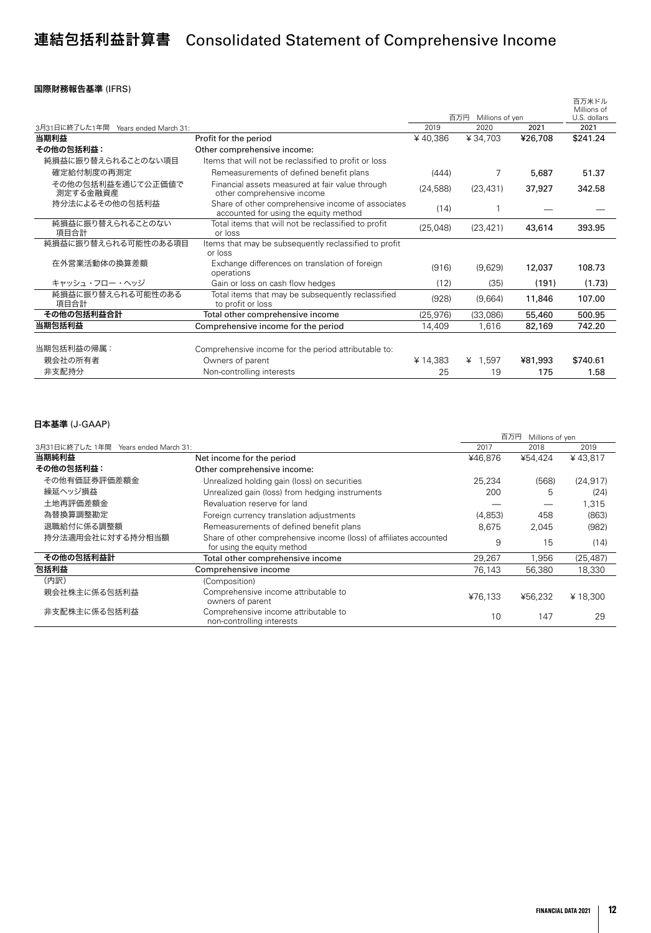# 連結包括利益計算書 Consolidated Statement of Comprehensive Income

#### 国際財務報告基準 (IFRS)

|                                        |                                                                                            |           |                        |         | 百万米ドル<br>Millions of |
|----------------------------------------|--------------------------------------------------------------------------------------------|-----------|------------------------|---------|----------------------|
|                                        |                                                                                            |           | 百万円<br>Millions of yen |         | U.S. dollars         |
| 3月31日に終了した1年間<br>Years ended March 31: |                                                                                            | 2019      | 2020                   | 2021    | 2021                 |
| 当期利益                                   | Profit for the period                                                                      | ¥40,386   | ¥34,703                | ¥26,708 | \$241.24             |
| その他の包括利益:                              | Other comprehensive income:                                                                |           |                        |         |                      |
| 純損益に振り替えられることのない項目                     | Items that will not be reclassified to profit or loss                                      |           |                        |         |                      |
| 確定給付制度の再測定                             | Remeasurements of defined benefit plans                                                    | (444)     | 7                      | 5,687   | 51.37                |
| その他の包括利益を通じて公正価値で<br>測定する金融資産          | Financial assets measured at fair value through<br>other comprehensive income              | (24, 588) | (23, 431)              | 37,927  | 342.58               |
| 持分法によるその他の包括利益                         | Share of other comprehensive income of associates<br>accounted for using the equity method | (14)      |                        |         |                      |
| 純損益に振り替えられることのない<br>項目合計               | Total items that will not be reclassified to profit<br>or loss                             | (25,048)  | (23, 421)              | 43,614  | 393.95               |
| 純損益に振り替えられる可能性のある項目                    | Items that may be subsequently reclassified to profit<br>or loss                           |           |                        |         |                      |
| 在外営業活動体の換算差額                           | Exchange differences on translation of foreign<br>operations                               | (916)     | (9,629)                | 12,037  | 108.73               |
| キャッシュ・フロー・ヘッジ                          | Gain or loss on cash flow hedges                                                           | (12)      | (35)                   | (191)   | (1.73)               |
| 純損益に振り替えられる可能性のある<br>項目合計              | Total items that may be subsequently reclassified<br>to profit or loss                     | (928)     | (9,664)                | 11,846  | 107.00               |
| その他の包括利益合計                             | Total other comprehensive income                                                           | (25, 976) | (33,086)               | 55,460  | 500.95               |
| 当期包括利益                                 | Comprehensive income for the period                                                        | 14,409    | 1,616                  | 82,169  | 742.20               |
|                                        |                                                                                            |           |                        |         |                      |
| 当期包括利益の帰属:                             | Comprehensive income for the period attributable to:                                       |           |                        |         |                      |
| 親会社の所有者                                | Owners of parent                                                                           | ¥14,383   | ¥ $1,597$              | ¥81,993 | \$740.61             |
| 非支配持分                                  | Non-controlling interests                                                                  | 25        | 19                     | 175     | 1.58                 |

|                                        |                                                                                                   |         | 百万円<br>Millions of yen |           |
|----------------------------------------|---------------------------------------------------------------------------------------------------|---------|------------------------|-----------|
| 3月31日に終了した1年間<br>Years ended March 31: |                                                                                                   | 2017    | 2018                   | 2019      |
| 当期純利益                                  | Net income for the period                                                                         | ¥46.876 | ¥54,424                | ¥43.817   |
| その他の包括利益:                              | Other comprehensive income:                                                                       |         |                        |           |
| その他有価証券評価差額金                           | Unrealized holding gain (loss) on securities                                                      | 25.234  | (568)                  | (24, 917) |
| 繰延ヘッジ損益                                | Unrealized gain (loss) from hedging instruments                                                   | 200     | 5                      | (24)      |
| 土地再評価差額金                               | Revaluation reserve for land                                                                      |         |                        | 1,315     |
| 為替換算調整勘定                               | Foreign currency translation adjustments                                                          | (4,853) | 458                    | (863)     |
| 退職給付に係る調整額                             | Remeasurements of defined benefit plans                                                           | 8.675   | 2,045                  | (982)     |
| 持分法適用会社に対する持分相当額                       | Share of other comprehensive income (loss) of affiliates accounted<br>for using the equity method | 9       | 15                     | (14)      |
| その他の包括利益計                              | Total other comprehensive income                                                                  | 29,267  | 1,956                  | (25, 487) |
| 包括利益                                   | Comprehensive income                                                                              | 76.143  | 56,380                 | 18,330    |
| (内訳)                                   | (Composition)                                                                                     |         |                        |           |
| 親会社株主に係る包括利益                           | Comprehensive income attributable to<br>owners of parent                                          | ¥76.133 | ¥56.232                | ¥18,300   |
| 非支配株主に係る包括利益                           | Comprehensive income attributable to<br>non-controlling interests                                 | 10      | 147                    | 29        |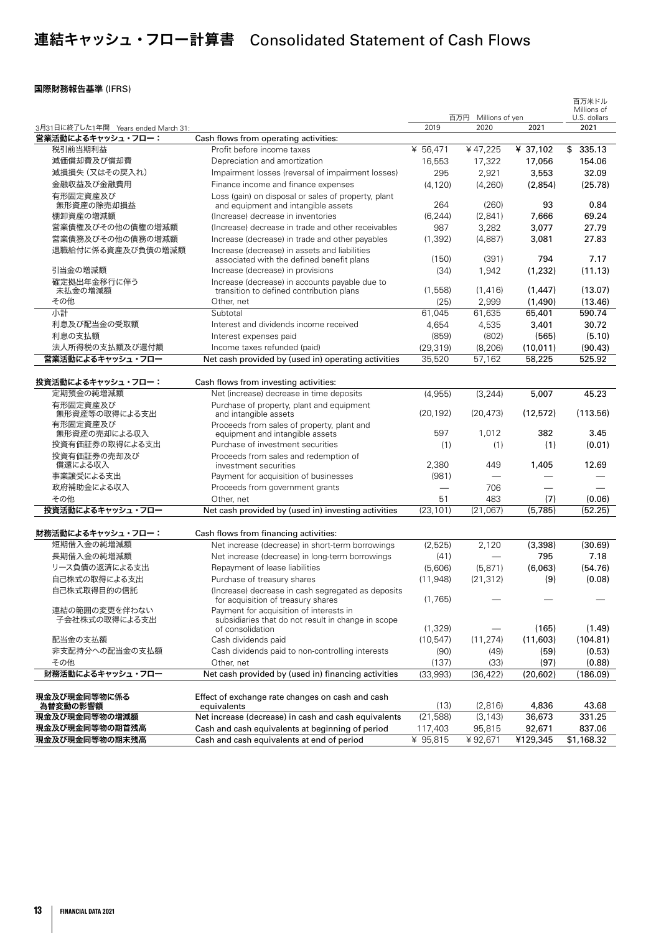# 連結キャッシュ・フロー計算書 Consolidated Statement of Cash Flows

#### 国際財務報告基準 (IFRS)

|                                     |                                                                                            |                      |                          |           | 百万米ドル                       |
|-------------------------------------|--------------------------------------------------------------------------------------------|----------------------|--------------------------|-----------|-----------------------------|
|                                     |                                                                                            |                      | 百万円<br>Millions of yen   |           | Millions of<br>U.S. dollars |
| 3月31日に終了した1年間 Years ended March 31: |                                                                                            | 2019                 | 2020                     | 2021      | 2021                        |
| 営業活動によるキャッシュ・フロー:                   | Cash flows from operating activities:                                                      |                      |                          |           |                             |
| 税引前当期利益                             | Profit before income taxes                                                                 | $\frac{1}{4}$ 56,471 | ¥47,225                  | ¥ 37,102  | \$<br>335.13                |
| 減価償却費及び償却費                          | Depreciation and amortization                                                              | 16,553               | 17,322                   | 17,056    | 154.06                      |
| 減損損失 (又はその戻入れ)                      | Impairment losses (reversal of impairment losses)                                          | 295                  | 2,921                    | 3,553     | 32.09                       |
| 金融収益及び金融費用                          | Finance income and finance expenses                                                        | (4, 120)             | (4,260)                  | (2,854)   | (25.78)                     |
| 有形固定資産及び                            | Loss (gain) on disposal or sales of property, plant                                        |                      |                          |           |                             |
| 無形資産の除売却損益                          | and equipment and intangible assets                                                        | 264                  | (260)                    | 93        | 0.84                        |
| 棚卸資産の増減額                            | (Increase) decrease in inventories                                                         | (6, 244)             | (2,841)                  | 7,666     | 69.24                       |
| 営業債権及びその他の債権の増減額                    | (Increase) decrease in trade and other receivables                                         | 987                  | 3,282                    | 3,077     | 27.79                       |
| 営業債務及びその他の債務の増減額                    | Increase (decrease) in trade and other payables                                            | (1, 392)             | (4,887)                  | 3,081     | 27.83                       |
| 退職給付に係る資産及び負債の増減額                   | Increase (decrease) in assets and liabilities                                              |                      |                          |           |                             |
|                                     | associated with the defined benefit plans                                                  | (150)                | (391)                    | 794       | 7.17                        |
| 引当金の増減額                             | Increase (decrease) in provisions                                                          | (34)                 | 1,942                    | (1,232)   | (11.13)                     |
| 確定拠出年金移行に伴う<br>未払金の増減額              | Increase (decrease) in accounts payable due to<br>transition to defined contribution plans | (1,558)              | (1, 416)                 | (1, 447)  | (13.07)                     |
| その他                                 | Other, net                                                                                 | (25)                 | 2,999                    | (1,490)   | (13.46)                     |
| 小計                                  | Subtotal                                                                                   | 61,045               | 61,635                   | 65,401    | 590.74                      |
| 利息及び配当金の受取額                         | Interest and dividends income received                                                     | 4,654                | 4,535                    | 3,401     | 30.72                       |
| 利息の支払額                              | Interest expenses paid                                                                     | (859)                | (802)                    | (565)     | (5.10)                      |
| 法人所得税の支払額及び還付額                      | Income taxes refunded (paid)                                                               | (29, 319)            | (8, 206)                 | (10, 011) | (90.43)                     |
| 営業活動によるキャッシュ・フロー                    | Net cash provided by (used in) operating activities                                        | 35,520               | 57,162                   | 58,225    | 525.92                      |
|                                     |                                                                                            |                      |                          |           |                             |
| 投資活動によるキャッシュ・フロー:                   | Cash flows from investing activities:                                                      |                      |                          |           |                             |
| 定期預金の純増減額                           | Net (increase) decrease in time deposits                                                   | (4,955)              | (3, 244)                 | 5,007     | 45.23                       |
| 有形固定資産及び                            | Purchase of property, plant and equipment                                                  |                      |                          |           |                             |
| 無形資産等の取得による支出                       | and intangible assets                                                                      | (20.192)             | (20.473)                 | (12,572)  | (113.56)                    |
| 有形固定資産及び                            | Proceeds from sales of property, plant and                                                 |                      |                          |           |                             |
| 無形資産の売却による収入                        | equipment and intangible assets                                                            | 597                  | 1,012                    | 382       | 3.45                        |
| 投資有価証券の取得による支出                      | Purchase of investment securities                                                          | (1)                  | (1)                      | (1)       | (0.01)                      |
| 投資有価証券の売却及び                         | Proceeds from sales and redemption of                                                      |                      |                          |           |                             |
| 償還による収入<br>事業譲受による支出                | investment securities                                                                      | 2,380                | 449                      | 1,405     | 12.69                       |
|                                     | Payment for acquisition of businesses                                                      | (981)                |                          |           |                             |
| 政府補助金による収入<br>その他                   | Proceeds from government grants                                                            |                      | 706                      |           |                             |
|                                     | Other, net                                                                                 | 51                   | 483                      | (7)       | (0.06)                      |
| 投資活動によるキャッシュ・フロー                    | Net cash provided by (used in) investing activities                                        | (23, 101)            | (21,067)                 | (5,785)   | (52.25)                     |
|                                     |                                                                                            |                      |                          |           |                             |
| 財務活動によるキャッシュ・フロー:<br>短期借入金の純増減額     | Cash flows from financing activities:                                                      |                      |                          |           |                             |
| 長期借入金の純増減額                          | Net increase (decrease) in short-term borrowings                                           | (2,525)              | 2,120                    | (3,398)   | (30.69)                     |
| リース負債の返済による支出                       | Net increase (decrease) in long-term borrowings                                            | (41)                 | $\overline{\phantom{0}}$ | 795       | 7.18                        |
|                                     | Repayment of lease liabilities                                                             | (5,606)              | (5, 871)                 | (6,063)   | (54.76)                     |
| 自己株式の取得による支出<br>自己株式取得目的の信託         | Purchase of treasury shares                                                                | (11,948)             | (21, 312)                | (9)       | (0.08)                      |
|                                     | (Increase) decrease in cash segregated as deposits<br>for acquisition of treasury shares   | (1,765)              |                          |           |                             |
| 連結の範囲の変更を伴わない                       | Payment for acquisition of interests in                                                    |                      |                          |           |                             |
| 子会社株式の取得による支出                       | subsidiaries that do not result in change in scope                                         |                      |                          |           |                             |
|                                     | of consolidation                                                                           | (1, 329)             |                          | (165)     | (1.49)                      |
| 配当金の支払額                             | Cash dividends paid                                                                        | (10, 547)            | (11, 274)                | (11,603)  | (104.81)                    |
| 非支配持分への配当金の支払額                      | Cash dividends paid to non-controlling interests                                           | (90)                 | (49)                     | (59)      | (0.53)                      |
| その他                                 | Other, net                                                                                 | (137)                | (33)                     | (97)      | (0.88)                      |
| 財務活動によるキャッシュ・フロー                    | Net cash provided by (used in) financing activities                                        | (33,993)             | (36, 422)                | (20, 602) | (186.09)                    |
|                                     |                                                                                            |                      |                          |           |                             |
| 現金及び現金同等物に係る                        | Effect of exchange rate changes on cash and cash                                           |                      |                          |           |                             |
| 為替変動の影響額                            | equivalents                                                                                | (13)                 | (2,816)                  | 4,836     | 43.68                       |
| 現金及び現金同等物の増減額                       | Net increase (decrease) in cash and cash equivalents                                       | (21,588)             | (3, 143)                 | 36,673    | 331.25                      |
| 現金及び現金同等物の期首残高                      | Cash and cash equivalents at beginning of period                                           | 117,403              | 95,815                   | 92,671    | 837.06                      |
| 現金及び現金同等物の期末残高                      | Cash and cash equivalents at end of period                                                 | ¥ 95,815             | ¥92,671                  | ¥129,345  | \$1,168.32                  |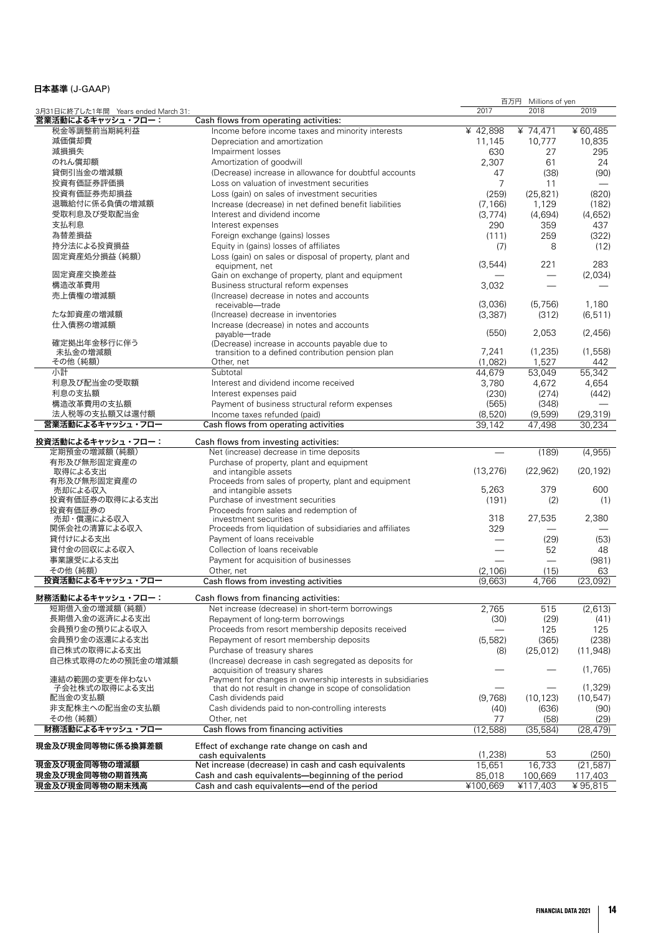|                                     |                                                            | 百万円<br>Millions of yen |                          |           |
|-------------------------------------|------------------------------------------------------------|------------------------|--------------------------|-----------|
| 3月31日に終了した1年間 Years ended March 31: |                                                            | 2017                   | 2018                     | 2019      |
| 営業活動によるキャッシュ・フロー:                   | Cash flows from operating activities:                      |                        |                          |           |
| 税金等調整前当期純利益                         | Income before income taxes and minority interests          | $¥$ 42,898             | $\frac{4}{74,471}$       | ¥60,485   |
| 減価償却費                               | Depreciation and amortization                              | 11,145                 | 10,777                   | 10,835    |
| 減損損失                                | Impairment losses                                          | 630                    | 27                       | 295       |
| のれん償却額                              | Amortization of goodwill                                   | 2,307                  | 61                       | 24        |
| 貸倒引当金の増減額                           | (Decrease) increase in allowance for doubtful accounts     | 47                     | (38)                     | (90)      |
|                                     |                                                            |                        |                          |           |
| 投資有価証券評価損                           | Loss on valuation of investment securities                 | 7                      | 11                       |           |
| 投資有価証券売却損益                          | Loss (gain) on sales of investment securities              | (259)                  | (25, 821)                | (820)     |
| 退職給付に係る負債の増減額                       | Increase (decrease) in net defined benefit liabilities     | (7, 166)               | 1,129                    | (182)     |
| 受取利息及び受取配当金                         | Interest and dividend income                               | (3,774)                | (4,694)                  | (4,652)   |
| 支払利息                                | Interest expenses                                          | 290                    | 359                      | 437       |
| 為替差損益                               | Foreign exchange (gains) losses                            | (111)                  | 259                      | (322)     |
| 持分法による投資損益                          | Equity in (gains) losses of affiliates                     |                        | 8                        |           |
|                                     |                                                            | (7)                    |                          | (12)      |
| 固定資産処分損益 (純額)                       | Loss (gain) on sales or disposal of property, plant and    |                        |                          |           |
|                                     | equipment, net                                             | (3,544)                | 221                      | 283       |
| 固定資産交換差益                            | Gain on exchange of property, plant and equipment          |                        |                          | (2,034)   |
| 構造改革費用                              | Business structural reform expenses                        | 3,032                  |                          |           |
| 売上債権の増減額                            | (Increase) decrease in notes and accounts                  |                        |                          |           |
|                                     | receivable-trade                                           | (3,036)                | (5,756)                  | 1,180     |
| たな卸資産の増減額                           | (Increase) decrease in inventories                         | (3, 387)               | (312)                    | (6, 511)  |
| 仕入債務の増減額                            | Increase (decrease) in notes and accounts                  |                        |                          |           |
|                                     | payable-trade                                              | (550)                  | 2,053                    | (2,456)   |
| 確定拠出年金移行に伴う                         | (Decrease) increase in accounts payable due to             |                        |                          |           |
| 未払金の増減額                             | transition to a defined contribution pension plan          | 7,241                  | (1, 235)                 | (1,558)   |
| その他 (純額)                            | Other, net                                                 | (1,082)                | 1.527                    | 442       |
| 小計                                  | Subtotal                                                   | 44.679                 | 53.049                   | 55,342    |
|                                     |                                                            |                        |                          |           |
| 利息及び配当金の受取額                         | Interest and dividend income received                      | 3,780                  | 4,672                    | 4,654     |
| 利息の支払額                              | Interest expenses paid                                     | (230)                  | (274)                    | (442)     |
| 構造改革費用の支払額                          | Payment of business structural reform expenses             | (565)                  | (348)                    |           |
| 法人税等の支払額又は還付額                       | Income taxes refunded (paid)                               | (8,520)                | (9,599)                  | (29, 319) |
| 営業活動によるキャッシュ・フロー                    | Cash flows from operating activities                       | 39,142                 | 47,498                   | 30,234    |
|                                     |                                                            |                        |                          |           |
| 投資活動によるキャッシュ・フロー:                   | Cash flows from investing activities:                      |                        |                          |           |
| 定期預金の増減額 (純額)                       | Net (increase) decrease in time deposits                   |                        | (189)                    | (4,955)   |
| 有形及び無形固定資産の                         | Purchase of property, plant and equipment                  |                        |                          |           |
| 取得による支出                             | and intangible assets                                      | (13, 276)              | (22, 962)                | (20, 192) |
| 有形及び無形固定資産の                         | Proceeds from sales of property, plant and equipment       |                        |                          |           |
| 売却による収入                             | and intangible assets                                      | 5,263                  | 379                      | 600       |
| 投資有価証券の取得による支出                      | Purchase of investment securities                          | (191)                  | (2)                      | (1)       |
| 投資有価証券の                             | Proceeds from sales and redemption of                      |                        |                          |           |
| 売却・償還による収入                          | investment securities                                      | 318                    | 27,535                   | 2,380     |
| 関係会社の清算による収入                        | Proceeds from liquidation of subsidiaries and affiliates   | 329                    |                          |           |
|                                     |                                                            |                        |                          |           |
| 貸付けによる支出                            | Payment of loans receivable                                |                        | (29)                     | (53)      |
| 貸付金の回収による収入                         | Collection of loans receivable                             |                        | 52                       | 48        |
| 事業譲受による支出                           | Payment for acquisition of businesses                      |                        | $\overline{\phantom{0}}$ | (981)     |
| その他 (純額)                            | Other, net                                                 | (2, 106)               | (15)                     | 63        |
| 投資活動によるキャッシュ・フロー                    | Cash flows from investing activities                       | (9,663)                | 4,766                    | (23,092)  |
|                                     |                                                            |                        |                          |           |
| 財務活動によるキャッシュ・フロー:                   | Cash flows from financing activities:                      |                        |                          |           |
| 短期借入金の増減額 (純額)                      | Net increase (decrease) in short-term borrowings           | 2,765                  | 515                      | (2,613)   |
| 長期借入金の返済による支出                       | Repayment of long-term borrowings                          | (30)                   | (29)                     | (41)      |
| 会員預り金の預りによる収入                       | Proceeds from resort membership deposits received          |                        | 125                      | 125       |
|                                     |                                                            |                        |                          |           |
| 会員預り金の返還による支出                       | Repayment of resort membership deposits                    | (5,582)                | (365)                    | (238)     |
| 自己株式の取得による支出                        | Purchase of treasury shares                                | (8)                    | (25, 012)                | (11, 948) |
| 自己株式取得のための預託金の増減額                   | (Increase) decrease in cash segregated as deposits for     |                        |                          |           |
|                                     | acquisition of treasury shares                             |                        |                          | (1,765)   |
| 連結の範囲の変更を伴わない                       | Payment for changes in ownership interests in subsidiaries |                        |                          |           |
| 子会社株式の取得による支出                       | that do not result in change in scope of consolidation     |                        |                          | (1,329)   |
| 配当金の支払額                             | Cash dividends paid                                        | (9,768)                | (10, 123)                | (10, 547) |
| 非支配株主への配当金の支払額                      | Cash dividends paid to non-controlling interests           | (40)                   | (636)                    | (90)      |
| その他 (純額)                            | Other, net                                                 | 77                     | (58)                     | (29)      |
| 財務活動によるキャッシュ・フロー                    | Cash flows from financing activities                       | (12, 588)              | (35, 584)                | (28, 479) |
|                                     |                                                            |                        |                          |           |
| 現金及び現金同等物に係る換算差額                    | Effect of exchange rate change on cash and                 |                        |                          |           |
|                                     | cash equivalents                                           | (1,238)                | 53                       | (250)     |
| 現金及び現金同等物の増減額                       | Net increase (decrease) in cash and cash equivalents       | 15,651                 | 16,733                   | (21, 587) |
| 現金及び現金同等物の期首残高                      | Cash and cash equivalents-beginning of the period          | 85,018                 | 100,669                  | 117,403   |
| 現金及び現金同等物の期末残高                      | Cash and cash equivalents-end of the period                | ¥100,669               | ¥117,403                 | ¥ 95,815  |
|                                     |                                                            |                        |                          |           |